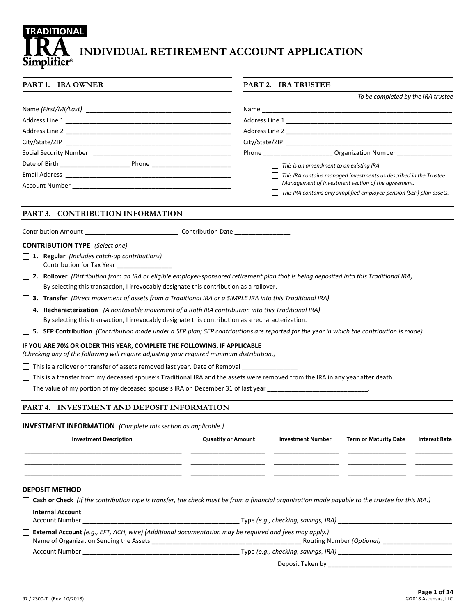# **TRADITIONAL INDIVIDUAL RETIREMENT ACCOUNT APPLICATION Simplifier**®

#### **PART 1. IRA OWNER PART 2. IRA TRUSTEE**

|                                                                                                                                                                                                                                | To be completed by the IRA trustee                                                                                                                                                                                                                               |
|--------------------------------------------------------------------------------------------------------------------------------------------------------------------------------------------------------------------------------|------------------------------------------------------------------------------------------------------------------------------------------------------------------------------------------------------------------------------------------------------------------|
|                                                                                                                                                                                                                                |                                                                                                                                                                                                                                                                  |
| Address Line 1                                                                                                                                                                                                                 |                                                                                                                                                                                                                                                                  |
| Address Line 2 and 2 and 2 and 2 and 2 and 2 and 2 and 2 and 2 and 2 and 2 and 2 and 2 and 2 and 2 and 2 and 2                                                                                                                 |                                                                                                                                                                                                                                                                  |
| City/State/ZIP and the control of the control of the control of the control of the control of the control of the control of the control of the control of the control of the control of the control of the control of the cont | City/State/ZIP and the contract of the contract of the contract of the contract of the contract of the contract of the contract of the contract of the contract of the contract of the contract of the contract of the contrac                                   |
|                                                                                                                                                                                                                                | <b>Organization Number</b><br><b>Phone Contract Contract Contract Contract Contract Contract Contract Contract Contract Contract Contract Contract Contract Contract Contract Contract Contract Contract Contract Contract Contract Contract Contract Contra</b> |
| Date of Birth <b>Exercise 20</b><br>Phone <u>______________</u>                                                                                                                                                                | This is an amendment to an existing IRA.                                                                                                                                                                                                                         |
|                                                                                                                                                                                                                                | This IRA contains managed investments as described in the Trustee                                                                                                                                                                                                |
| Account Number _______________________                                                                                                                                                                                         | Management of Investment section of the agreement.                                                                                                                                                                                                               |
|                                                                                                                                                                                                                                | This IRA contains only simplified employee pension (SEP) plan assets.                                                                                                                                                                                            |

# **PART 3. CONTRIBUTION INFORMATION**

Contribution Amount \_\_\_\_\_\_\_\_\_\_\_\_\_\_\_\_\_\_\_\_\_\_\_\_\_\_\_ Contribution Date \_\_\_\_\_\_\_\_\_\_\_\_\_\_\_\_

#### **CONTRIBUTION TYPE** *(Select one)*

- **1. Regular** *(Includes catch-up contributions)* Contribution for Tax Year \_\_\_\_\_\_\_\_\_\_\_\_\_\_\_\_
- **2. Rollover** *(Distribution from an IRA or eligible employer-sponsored retirement plan that is being deposited into this Traditional IRA)* By selecting this transaction, I irrevocably designate this contribution as a rollover.
- **3. Transfer** *(Direct movement of assets from a Traditional IRA or a SIMPLE IRA into this Traditional IRA)*
- **4. Recharacterization** *(A nontaxable movement of a Roth IRA contribution into this Traditional IRA)* By selecting this transaction, I irrevocably designate this contribution as a recharacterization.
- **5. SEP Contribution** *(Contribution made under a SEP plan; SEP contributions are reported for the year in which the contribution is made)*

# **IF YOU ARE 70½ OR OLDER THIS YEAR, COMPLETE THE FOLLOWING, IF APPLICABLE**

*(Checking any of the following will require adjusting your required minimum distribution.)*

 $\Box$  This is a rollover or transfer of assets removed last year. Date of Removal

 $\Box$  This is a transfer from my deceased spouse's Traditional IRA and the assets were removed from the IRA in any year after death.

The value of my portion of my deceased spouse's IRA on December 31 of last year \_\_\_\_\_\_\_

# **PART 4. INVESTMENT AND DEPOSIT INFORMATION**

#### **INVESTMENT INFORMATION** *(Complete this section as applicable.)*

| <b>Investment Description</b>                                                                                                                                                                                                       | <b>Quantity or Amount</b> | <b>Investment Number</b>            | <b>Term or Maturity Date</b>     | <b>Interest Rate</b> |
|-------------------------------------------------------------------------------------------------------------------------------------------------------------------------------------------------------------------------------------|---------------------------|-------------------------------------|----------------------------------|----------------------|
|                                                                                                                                                                                                                                     |                           |                                     |                                  |                      |
|                                                                                                                                                                                                                                     |                           |                                     |                                  |                      |
|                                                                                                                                                                                                                                     |                           |                                     |                                  |                      |
| <b>DEPOSIT METHOD</b>                                                                                                                                                                                                               |                           |                                     |                                  |                      |
| $\Box$ Cash or Check (If the contribution type is transfer, the check must be from a financial organization made payable to the trustee for this IRA.)                                                                              |                           |                                     |                                  |                      |
| $\Box$ Internal Account                                                                                                                                                                                                             |                           |                                     |                                  |                      |
| Account Number <b>Example 2</b> and the state of the state of the state of the state of the state of the state of the state of the state of the state of the state of the state of the state of the state of the state of the state |                           |                                     |                                  |                      |
| <b>External Account</b> (e.g., EFT, ACH, wire) (Additional documentation may be required and fees may apply.)                                                                                                                       |                           |                                     |                                  |                      |
|                                                                                                                                                                                                                                     |                           |                                     | Routing Number <i>(Optional)</i> |                      |
| <b>Account Number</b>                                                                                                                                                                                                               |                           | Type (e.g., checking, savings, IRA) |                                  |                      |

Deposit Taken by \_\_\_\_\_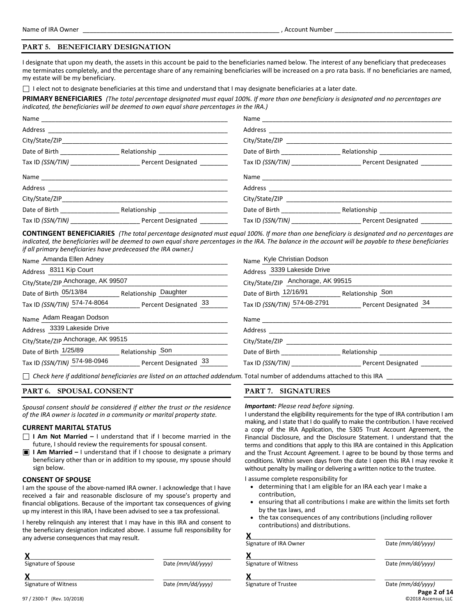# **PART 5. BENEFICIARY DESIGNATION**

I designate that upon my death, the assets in this account be paid to the beneficiaries named below. The interest of any beneficiary that predeceases me terminates completely, and the percentage share of any remaining beneficiaries will be increased on a pro rata basis. If no beneficiaries are named, my estate will be my beneficiary.

 $\Box$  I elect not to designate beneficiaries at this time and understand that I may designate beneficiaries at a later date.

**PRIMARY BENEFICIARIES** *(The total percentage designated must equal 100%. If more than one beneficiary is designated and no percentages are indicated, the beneficiaries will be deemed to own equal share percentages in the IRA.)*

|                                   |                                    | Name and the state of the state of the state of the state of the state of the state of the state of the state of the state of the state of the state of the state of the state of the state of the state of the state of the s |
|-----------------------------------|------------------------------------|--------------------------------------------------------------------------------------------------------------------------------------------------------------------------------------------------------------------------------|
|                                   |                                    |                                                                                                                                                                                                                                |
|                                   |                                    |                                                                                                                                                                                                                                |
| Date of Birth ___________________ | Date of Birth __________________   |                                                                                                                                                                                                                                |
|                                   |                                    |                                                                                                                                                                                                                                |
|                                   |                                    |                                                                                                                                                                                                                                |
|                                   |                                    |                                                                                                                                                                                                                                |
|                                   |                                    |                                                                                                                                                                                                                                |
|                                   | Date of Birth <b>Exercise 2018</b> | Relationship _____________________                                                                                                                                                                                             |
|                                   |                                    |                                                                                                                                                                                                                                |

**CONTINGENT BENEFICIARIES** *(The total percentage designated must equal 100%. If more than one beneficiary is designated and no percentages are indicated, the beneficiaries will be deemed to own equal share percentages in the IRA. The balance in the account will be payable to these beneficiaries if all primary beneficiaries have predeceased the IRA owner.)*

| Name Amanda Ellen Adney                               | Name Kyle Christian Dodson                         |
|-------------------------------------------------------|----------------------------------------------------|
| Address 8311 Kip Court                                | Address 3339 Lakeside Drive                        |
| City/State/ZIP Anchorage, AK 99507                    | City/State/ZIP Anchorage, AK 99515                 |
| Date of Birth 05/13/84<br>Relationship Daughter       | Date of Birth 12/16/91<br>Relationship Son         |
| Tax ID (SSN/TIN) 574-74-8064 Percent Designated 33    | Tax ID (SSN/TIN) 574-08-2791 Percent Designated 34 |
| Name Adam Reagan Dodson                               | Name                                               |
| Address 3339 Lakeside Drive                           | Address                                            |
| City/State/ZIP Anchorage, AK 99515                    | City/State/ZIP                                     |
| Date of Birth 1/25/89<br>Relationship Son             | Date of Birth<br>Relationship                      |
| Tax ID (SSN/TIN) 574-98-0946<br>Percent Designated 33 | Tax ID <i>(SSN/TIN)</i><br>Percent Designated      |

*Check here if additional beneficiaries are listed on an attached addendum.* Total number of addendums attached to this IRA \_\_\_\_\_\_\_\_\_\_\_\_\_\_\_\_\_\_\_

#### **PART 6. SPOUSAL CONSENT**

*Spousal consent should be considered if either the trust or the residence of the IRA owner is located in a community or marital property state.*

# **CURRENT MARITAL STATUS**

- **I Am Not Married –** I understand that if I become married in the future, I should review the requirements for spousal consent.
- $\blacksquare$ **I Am Married –** I understand that if I choose to designate a primary beneficiary other than or in addition to my spouse, my spouse should sign below.

#### **CONSENT OF SPOUSE**

I am the spouse of the above-named IRA owner. I acknowledge that I have received a fair and reasonable disclosure of my spouse's property and financial obligations. Because of the important tax consequences of giving up my interest in this IRA, I have been advised to see a tax professional.

I hereby relinquish any interest that I may have in this IRA and consent to the beneficiary designation indicated above. I assume full responsibility for any adverse consequences that may result.

| Signature of Spouse | Date (mm/dd/yyyy) |
|---------------------|-------------------|
|                     |                   |

# **PART 7. SIGNATURES**

#### *Important: Please read before signing.*

I understand the eligibility requirements for the type of IRA contribution I am making, and I state that I do qualify to make the contribution. I have received a copy of the IRA Application, the 5305 Trust Account Agreement, the Financial Disclosure, and the Disclosure Statement. I understand that the terms and conditions that apply to this IRA are contained in this Application and the Trust Account Agreement. I agree to be bound by those terms and conditions. Within seven days from the date I open this IRA I may revoke it without penalty by mailing or delivering a written notice to the trustee.

I assume complete responsibility for

- determining that I am eligible for an IRA each year I make a contribution,
- ensuring that all contributions I make are within the limits set forth by the tax laws, and
- the tax consequences of any contributions (including rollover contributions) and distributions.

| any adverse consequences that may result. |                   |                        |                     |
|-------------------------------------------|-------------------|------------------------|---------------------|
|                                           |                   | Signature of IRA Owner | Date (mm/dd/yyyy)   |
|                                           |                   |                        |                     |
| Signature of Spouse                       | Date (mm/dd/yyyy) | Signature of Witness   | Date (mm/dd/yyyy)   |
|                                           |                   |                        |                     |
| Signature of Witness                      | Date (mm/dd/yyyy) | Signature of Trustee   | Date (mm/dd/yyyy)   |
|                                           |                   |                        | Page 2 of 14        |
| 97 / 2300-T (Rev. 10/2018)                |                   |                        | ©2018 Ascensus, LLC |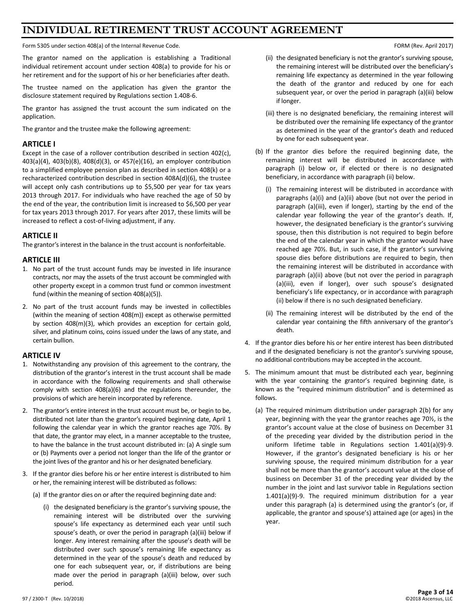# **INDIVIDUAL RETIREMENT TRUST ACCOUNT AGREEMENT**

Form 5305 under section 408(a) of the Internal Revenue Code. The Internal Revenue Code. FORM (Rev. April 2017)

The grantor named on the application is establishing a Traditional individual retirement account under section 408(a) to provide for his or her retirement and for the support of his or her beneficiaries after death.

The trustee named on the application has given the grantor the disclosure statement required by Regulations section 1.408-6.

The grantor has assigned the trust account the sum indicated on the application.

The grantor and the trustee make the following agreement:

# **ARTICLE I**

Except in the case of a rollover contribution described in section 402(c), 403(a)(4), 403(b)(8), 408(d)(3), or 457(e)(16), an employer contribution to a simplified employee pension plan as described in section 408(k) or a recharacterized contribution described in section 408A(d)(6), the trustee will accept only cash contributions up to \$5,500 per year for tax years 2013 through 2017. For individuals who have reached the age of 50 by the end of the year, the contribution limit is increased to \$6,500 per year for tax years 2013 through 2017. For years after 2017, these limits will be increased to reflect a cost-of-living adjustment, if any.

# **ARTICLE II**

The grantor's interest in the balance in the trust account is nonforfeitable.

# **ARTICLE III**

- 1. No part of the trust account funds may be invested in life insurance contracts, nor may the assets of the trust account be commingled with other property except in a common trust fund or common investment fund (within the meaning of section 408(a)(5)).
- 2. No part of the trust account funds may be invested in collectibles (within the meaning of section 408(m)) except as otherwise permitted by section 408(m)(3), which provides an exception for certain gold, silver, and platinum coins, coins issued under the laws of any state, and certain bullion.

# **ARTICLE IV**

- 1. Notwithstanding any provision of this agreement to the contrary, the distribution of the grantor's interest in the trust account shall be made in accordance with the following requirements and shall otherwise comply with section 408(a)(6) and the regulations thereunder, the provisions of which are herein incorporated by reference.
- 2. The grantor's entire interest in the trust account must be, or begin to be, distributed not later than the grantor's required beginning date, April 1 following the calendar year in which the grantor reaches age 70½. By that date, the grantor may elect, in a manner acceptable to the trustee, to have the balance in the trust account distributed in: (a) A single sum or (b) Payments over a period not longer than the life of the grantor or the joint lives of the grantor and his or her designated beneficiary.
- 3. If the grantor dies before his or her entire interest is distributed to him or her, the remaining interest will be distributed as follows:
	- (a) If the grantor dies on or after the required beginning date and:
		- (i) the designated beneficiary is the grantor's surviving spouse, the remaining interest will be distributed over the surviving spouse's life expectancy as determined each year until such spouse's death, or over the period in paragraph (a)(iii) below if longer. Any interest remaining after the spouse's death will be distributed over such spouse's remaining life expectancy as determined in the year of the spouse's death and reduced by one for each subsequent year, or, if distributions are being made over the period in paragraph (a)(iii) below, over such period.

- (ii) the designated beneficiary is not the grantor's surviving spouse, the remaining interest will be distributed over the beneficiary's remaining life expectancy as determined in the year following the death of the grantor and reduced by one for each subsequent year, or over the period in paragraph (a)(iii) below if longer.
- (iii) there is no designated beneficiary, the remaining interest will be distributed over the remaining life expectancy of the grantor as determined in the year of the grantor's death and reduced by one for each subsequent year.
- (b) If the grantor dies before the required beginning date, the remaining interest will be distributed in accordance with paragraph (i) below or, if elected or there is no designated beneficiary, in accordance with paragraph (ii) below.
	- (i) The remaining interest will be distributed in accordance with paragraphs (a)(i) and (a)(ii) above (but not over the period in paragraph (a)(iii), even if longer), starting by the end of the calendar year following the year of the grantor's death. If, however, the designated beneficiary is the grantor's surviving spouse, then this distribution is not required to begin before the end of the calendar year in which the grantor would have reached age 70½. But, in such case, if the grantor's surviving spouse dies before distributions are required to begin, then the remaining interest will be distributed in accordance with paragraph (a)(ii) above (but not over the period in paragraph (a)(iii), even if longer), over such spouse's designated beneficiary's life expectancy, or in accordance with paragraph (ii) below if there is no such designated beneficiary.
	- (ii) The remaining interest will be distributed by the end of the calendar year containing the fifth anniversary of the grantor's death.
- 4. If the grantor dies before his or her entire interest has been distributed and if the designated beneficiary is not the grantor's surviving spouse, no additional contributions may be accepted in the account.
- 5. The minimum amount that must be distributed each year, beginning with the year containing the grantor's required beginning date, is known as the "required minimum distribution" and is determined as follows.
	- (a) The required minimum distribution under paragraph 2(b) for any year, beginning with the year the grantor reaches age 70½, is the grantor's account value at the close of business on December 31 of the preceding year divided by the distribution period in the uniform lifetime table in Regulations section 1.401(a)(9)-9. However, if the grantor's designated beneficiary is his or her surviving spouse, the required minimum distribution for a year shall not be more than the grantor's account value at the close of business on December 31 of the preceding year divided by the number in the joint and last survivor table in Regulations section 1.401(a)(9)-9. The required minimum distribution for a year under this paragraph (a) is determined using the grantor's (or, if applicable, the grantor and spouse's) attained age (or ages) in the year.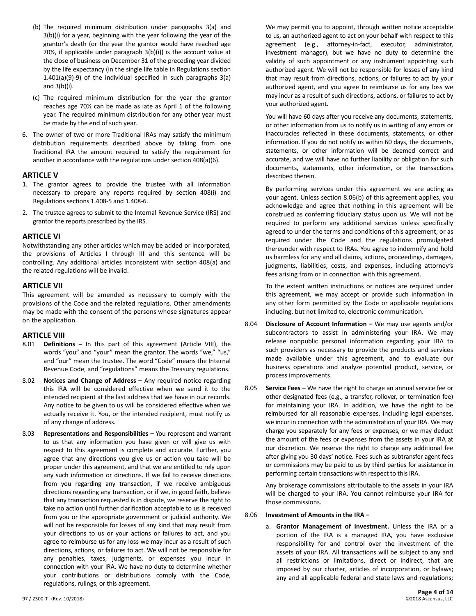- (b) The required minimum distribution under paragraphs 3(a) and 3(b)(i) for a year, beginning with the year following the year of the grantor's death (or the year the grantor would have reached age 70½, if applicable under paragraph 3(b)(i)) is the account value at the close of business on December 31 of the preceding year divided by the life expectancy (in the single life table in Regulations section 1.401(a)(9)-9) of the individual specified in such paragraphs 3(a) and 3(b)(i).
- (c) The required minimum distribution for the year the grantor reaches age 70½ can be made as late as April 1 of the following year. The required minimum distribution for any other year must be made by the end of such year.
- 6. The owner of two or more Traditional IRAs may satisfy the minimum distribution requirements described above by taking from one Traditional IRA the amount required to satisfy the requirement for another in accordance with the regulations under section 408(a)(6).

# **ARTICLE V**

- 1. The grantor agrees to provide the trustee with all information necessary to prepare any reports required by section 408(i) and Regulations sections 1.408-5 and 1.408-6.
- 2. The trustee agrees to submit to the Internal Revenue Service (IRS) and grantor the reports prescribed by the IRS.

# **ARTICLE VI**

Notwithstanding any other articles which may be added or incorporated, the provisions of Articles I through III and this sentence will be controlling. Any additional articles inconsistent with section 408(a) and the related regulations will be invalid.

# **ARTICLE VII**

This agreement will be amended as necessary to comply with the provisions of the Code and the related regulations. Other amendments may be made with the consent of the persons whose signatures appear on the application.

# **ARTICLE VIII**

- 8.01 **Definitions –** In this part of this agreement (Article VIII), the words "you" and "your" mean the grantor. The words "we," "us," and "our" mean the trustee. The word "Code" means the Internal Revenue Code, and "regulations" means the Treasury regulations.
- 8.02 **Notices and Change of Address –** Any required notice regarding this IRA will be considered effective when we send it to the intended recipient at the last address that we have in our records. Any notice to be given to us will be considered effective when we actually receive it. You, or the intended recipient, must notify us of any change of address.
- 8.03 **Representations and Responsibilities –** You represent and warrant to us that any information you have given or will give us with respect to this agreement is complete and accurate. Further, you agree that any directions you give us or action you take will be proper under this agreement, and that we are entitled to rely upon any such information or directions. If we fail to receive directions from you regarding any transaction, if we receive ambiguous directions regarding any transaction, or if we, in good faith, believe that any transaction requested is in dispute, we reserve the right to take no action until further clarification acceptable to us is received from you or the appropriate government or judicial authority. We will not be responsible for losses of any kind that may result from your directions to us or your actions or failures to act, and you agree to reimburse us for any loss we may incur as a result of such directions, actions, or failures to act. We will not be responsible for any penalties, taxes, judgments, or expenses you incur in connection with your IRA. We have no duty to determine whether your contributions or distributions comply with the Code, regulations, rulings, or this agreement.

We may permit you to appoint, through written notice acceptable to us, an authorized agent to act on your behalf with respect to this agreement (e.g., attorney-in-fact, executor, administrator, investment manager), but we have no duty to determine the validity of such appointment or any instrument appointing such authorized agent. We will not be responsible for losses of any kind that may result from directions, actions, or failures to act by your authorized agent, and you agree to reimburse us for any loss we may incur as a result of such directions, actions, or failures to act by your authorized agent.

You will have 60 days after you receive any documents, statements, or other information from us to notify us in writing of any errors or inaccuracies reflected in these documents, statements, or other information. If you do not notify us within 60 days, the documents, statements, or other information will be deemed correct and accurate, and we will have no further liability or obligation for such documents, statements, other information, or the transactions described therein.

By performing services under this agreement we are acting as your agent. Unless section 8.06(b) of this agreement applies, you acknowledge and agree that nothing in this agreement will be construed as conferring fiduciary status upon us. We will not be required to perform any additional services unless specifically agreed to under the terms and conditions of this agreement, or as required under the Code and the regulations promulgated thereunder with respect to IRAs. You agree to indemnify and hold us harmless for any and all claims, actions, proceedings, damages, judgments, liabilities, costs, and expenses, including attorney's fees arising from or in connection with this agreement.

To the extent written instructions or notices are required under this agreement, we may accept or provide such information in any other form permitted by the Code or applicable regulations including, but not limited to, electronic communication.

- 8.04 **Disclosure of Account Information –** We may use agents and/or subcontractors to assist in administering your IRA. We may release nonpublic personal information regarding your IRA to such providers as necessary to provide the products and services made available under this agreement, and to evaluate our business operations and analyze potential product, service, or process improvements.
- 8.05 **Service Fees –** We have the right to charge an annual service fee or other designated fees (e.g., a transfer, rollover, or termination fee) for maintaining your IRA. In addition, we have the right to be reimbursed for all reasonable expenses, including legal expenses, we incur in connection with the administration of your IRA. We may charge you separately for any fees or expenses, or we may deduct the amount of the fees or expenses from the assets in your IRA at our discretion. We reserve the right to charge any additional fee after giving you 30 days' notice. Fees such as subtransfer agent fees or commissions may be paid to us by third parties for assistance in performing certain transactions with respect to this IRA.

Any brokerage commissions attributable to the assets in your IRA will be charged to your IRA. You cannot reimburse your IRA for those commissions.

#### 8.06 **Investment of Amounts in the IRA –**

a. **Grantor Management of Investment.** Unless the IRA or a portion of the IRA is a managed IRA, you have exclusive responsibility for and control over the investment of the assets of your IRA. All transactions will be subject to any and all restrictions or limitations, direct or indirect, that are imposed by our charter, articles of incorporation, or bylaws; any and all applicable federal and state laws and regulations;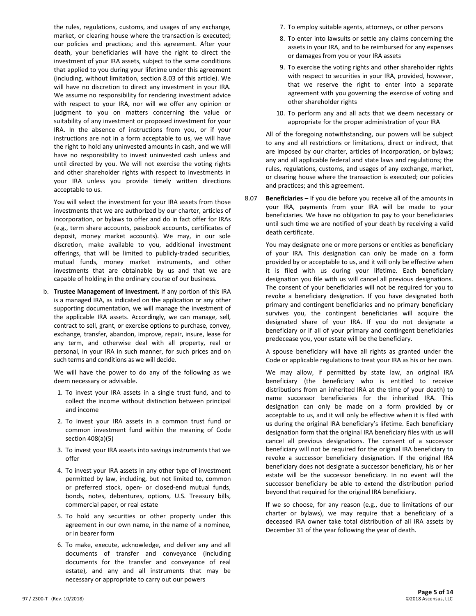the rules, regulations, customs, and usages of any exchange, market, or clearing house where the transaction is executed; our policies and practices; and this agreement. After your death, your beneficiaries will have the right to direct the investment of your IRA assets, subject to the same conditions that applied to you during your lifetime under this agreement (including, without limitation, section 8.03 of this article). We will have no discretion to direct any investment in your IRA. We assume no responsibility for rendering investment advice with respect to your IRA, nor will we offer any opinion or judgment to you on matters concerning the value or suitability of any investment or proposed investment for your IRA. In the absence of instructions from you, or if your instructions are not in a form acceptable to us, we will have the right to hold any uninvested amounts in cash, and we will have no responsibility to invest uninvested cash unless and until directed by you. We will not exercise the voting rights and other shareholder rights with respect to investments in your IRA unless you provide timely written directions acceptable to us.

You will select the investment for your IRA assets from those investments that we are authorized by our charter, articles of incorporation, or bylaws to offer and do in fact offer for IRAs (e.g., term share accounts, passbook accounts, certificates of deposit, money market accounts). We may, in our sole discretion, make available to you, additional investment offerings, that will be limited to publicly-traded securities, mutual funds, money market instruments, and other investments that are obtainable by us and that we are capable of holding in the ordinary course of our business.

b. **Trustee Management of Investment.** If any portion of this IRA is a managed IRA, as indicated on the application or any other supporting documentation, we will manage the investment of the applicable IRA assets. Accordingly, we can manage, sell, contract to sell, grant, or exercise options to purchase, convey, exchange, transfer, abandon, improve, repair, insure, lease for any term, and otherwise deal with all property, real or personal, in your IRA in such manner, for such prices and on such terms and conditions as we will decide.

We will have the power to do any of the following as we deem necessary or advisable.

- 1. To invest your IRA assets in a single trust fund, and to collect the income without distinction between principal and income
- 2. To invest your IRA assets in a common trust fund or common investment fund within the meaning of Code section 408(a)(5)
- 3. To invest your IRA assets into savings instruments that we offer
- 4. To invest your IRA assets in any other type of investment permitted by law, including, but not limited to, common or preferred stock, open- or closed-end mutual funds, bonds, notes, debentures, options, U.S. Treasury bills, commercial paper, or real estate
- 5. To hold any securities or other property under this agreement in our own name, in the name of a nominee, or in bearer form
- 6. To make, execute, acknowledge, and deliver any and all documents of transfer and conveyance (including documents for the transfer and conveyance of real estate), and any and all instruments that may be necessary or appropriate to carry out our powers
- 7. To employ suitable agents, attorneys, or other persons
- 8. To enter into lawsuits or settle any claims concerning the assets in your IRA, and to be reimbursed for any expenses or damages from you or your IRA assets
- 9. To exercise the voting rights and other shareholder rights with respect to securities in your IRA, provided, however, that we reserve the right to enter into a separate agreement with you governing the exercise of voting and other shareholder rights
- 10. To perform any and all acts that we deem necessary or appropriate for the proper administration of your IRA

All of the foregoing notwithstanding, our powers will be subject to any and all restrictions or limitations, direct or indirect, that are imposed by our charter, articles of incorporation, or bylaws; any and all applicable federal and state laws and regulations; the rules, regulations, customs, and usages of any exchange, market, or clearing house where the transaction is executed; our policies and practices; and this agreement.

8.07 **Beneficiaries –** If you die before you receive all of the amounts in your IRA, payments from your IRA will be made to your beneficiaries. We have no obligation to pay to your beneficiaries until such time we are notified of your death by receiving a valid death certificate.

You may designate one or more persons or entities as beneficiary of your IRA. This designation can only be made on a form provided by or acceptable to us, and it will only be effective when it is filed with us during your lifetime. Each beneficiary designation you file with us will cancel all previous designations. The consent of your beneficiaries will not be required for you to revoke a beneficiary designation. If you have designated both primary and contingent beneficiaries and no primary beneficiary survives you, the contingent beneficiaries will acquire the designated share of your IRA. If you do not designate a beneficiary or if all of your primary and contingent beneficiaries predecease you, your estate will be the beneficiary.

A spouse beneficiary will have all rights as granted under the Code or applicable regulations to treat your IRA as his or her own.

We may allow, if permitted by state law, an original IRA beneficiary (the beneficiary who is entitled to receive distributions from an inherited IRA at the time of your death) to name successor beneficiaries for the inherited IRA. This designation can only be made on a form provided by or acceptable to us, and it will only be effective when it is filed with us during the original IRA beneficiary's lifetime. Each beneficiary designation form that the original IRA beneficiary files with us will cancel all previous designations. The consent of a successor beneficiary will not be required for the original IRA beneficiary to revoke a successor beneficiary designation. If the original IRA beneficiary does not designate a successor beneficiary, his or her estate will be the successor beneficiary. In no event will the successor beneficiary be able to extend the distribution period beyond that required for the original IRA beneficiary.

If we so choose, for any reason (e.g., due to limitations of our charter or bylaws), we may require that a beneficiary of a deceased IRA owner take total distribution of all IRA assets by December 31 of the year following the year of death.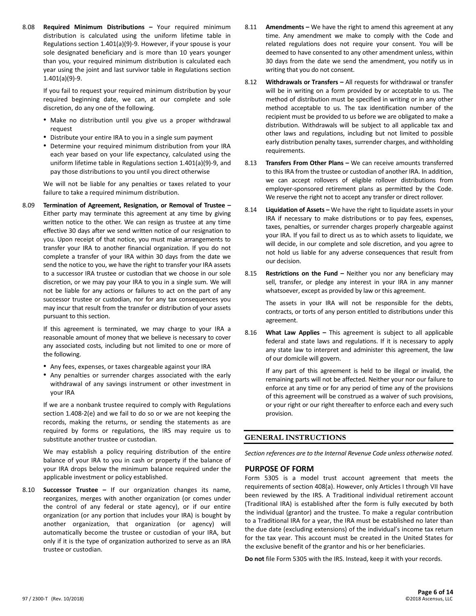8.08 **Required Minimum Distributions –** Your required minimum distribution is calculated using the uniform lifetime table in Regulations section 1.401(a)(9)-9. However, if your spouse is your sole designated beneficiary and is more than 10 years younger than you, your required minimum distribution is calculated each year using the joint and last survivor table in Regulations section 1.401(a)(9)-9.

If you fail to request your required minimum distribution by your required beginning date, we can, at our complete and sole discretion, do any one of the following.

- Make no distribution until you give us a proper withdrawal request
- Distribute your entire IRA to you in a single sum payment
- Determine your required minimum distribution from your IRA each year based on your life expectancy, calculated using the uniform lifetime table in Regulations section 1.401(a)(9)-9, and pay those distributions to you until you direct otherwise

We will not be liable for any penalties or taxes related to your failure to take a required minimum distribution.

8.09 **Termination of Agreement, Resignation, or Removal of Trustee –** Either party may terminate this agreement at any time by giving written notice to the other. We can resign as trustee at any time effective 30 days after we send written notice of our resignation to you. Upon receipt of that notice, you must make arrangements to transfer your IRA to another financial organization. If you do not complete a transfer of your IRA within 30 days from the date we send the notice to you, we have the right to transfer your IRA assets to a successor IRA trustee or custodian that we choose in our sole discretion, or we may pay your IRA to you in a single sum. We will not be liable for any actions or failures to act on the part of any successor trustee or custodian, nor for any tax consequences you may incur that result from the transfer or distribution of your assets pursuant to this section.

If this agreement is terminated, we may charge to your IRA a reasonable amount of money that we believe is necessary to cover any associated costs, including but not limited to one or more of the following.

- Any fees, expenses, or taxes chargeable against your IRA
- Any penalties or surrender charges associated with the early withdrawal of any savings instrument or other investment in your IRA

If we are a nonbank trustee required to comply with Regulations section 1.408-2(e) and we fail to do so or we are not keeping the records, making the returns, or sending the statements as are required by forms or regulations, the IRS may require us to substitute another trustee or custodian.

We may establish a policy requiring distribution of the entire balance of your IRA to you in cash or property if the balance of your IRA drops below the minimum balance required under the applicable investment or policy established.

8.10 **Successor Trustee –** If our organization changes its name, reorganizes, merges with another organization (or comes under the control of any federal or state agency), or if our entire organization (or any portion that includes your IRA) is bought by another organization, that organization (or agency) will automatically become the trustee or custodian of your IRA, but only if it is the type of organization authorized to serve as an IRA trustee or custodian.

- 8.11 **Amendments –** We have the right to amend this agreement at any time. Any amendment we make to comply with the Code and related regulations does not require your consent. You will be deemed to have consented to any other amendment unless, within 30 days from the date we send the amendment, you notify us in writing that you do not consent.
- 8.12 **Withdrawals or Transfers –** All requests for withdrawal or transfer will be in writing on a form provided by or acceptable to us. The method of distribution must be specified in writing or in any other method acceptable to us. The tax identification number of the recipient must be provided to us before we are obligated to make a distribution. Withdrawals will be subject to all applicable tax and other laws and regulations, including but not limited to possible early distribution penalty taxes, surrender charges, and withholding requirements.
- 8.13 **Transfers From Other Plans –** We can receive amounts transferred to this IRA from the trustee or custodian of another IRA. In addition, we can accept rollovers of eligible rollover distributions from employer-sponsored retirement plans as permitted by the Code. We reserve the right not to accept any transfer or direct rollover.
- 8.14 **Liquidation of Assets –** We have the right to liquidate assets in your IRA if necessary to make distributions or to pay fees, expenses, taxes, penalties, or surrender charges properly chargeable against your IRA. If you fail to direct us as to which assets to liquidate, we will decide, in our complete and sole discretion, and you agree to not hold us liable for any adverse consequences that result from our decision.
- 8.15 **Restrictions on the Fund –** Neither you nor any beneficiary may sell, transfer, or pledge any interest in your IRA in any manner whatsoever, except as provided by law or this agreement.

The assets in your IRA will not be responsible for the debts, contracts, or torts of any person entitled to distributions under this agreement.

8.16 **What Law Applies –** This agreement is subject to all applicable federal and state laws and regulations. If it is necessary to apply any state law to interpret and administer this agreement, the law of our domicile will govern.

If any part of this agreement is held to be illegal or invalid, the remaining parts will not be affected. Neither your nor our failure to enforce at any time or for any period of time any of the provisions of this agreement will be construed as a waiver of such provisions, or your right or our right thereafter to enforce each and every such provision.

# **GENERAL INSTRUCTIONS**

*Section references are to the Internal Revenue Code unless otherwise noted.*

# **PURPOSE OF FORM**

Form 5305 is a model trust account agreement that meets the requirements of section 408(a). However, only Articles I through VII have been reviewed by the IRS. A Traditional individual retirement account (Traditional IRA) is established after the form is fully executed by both the individual (grantor) and the trustee. To make a regular contribution to a Traditional IRA for a year, the IRA must be established no later than the due date (excluding extensions) of the individual's income tax return for the tax year. This account must be created in the United States for the exclusive benefit of the grantor and his or her beneficiaries.

**Do not** file Form 5305 with the IRS. Instead, keep it with your records.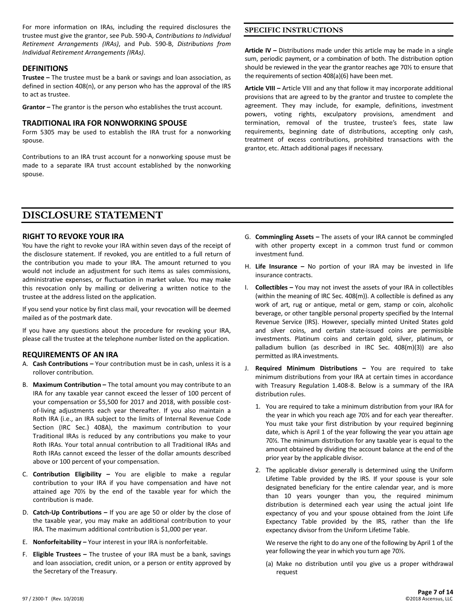For more information on IRAs, including the required disclosures the trustee must give the grantor, see Pub. 590-A, *Contributions to Individual Retirement Arrangements (IRAs)*, and Pub. 590-B, *Distributions from Individual Retirement Arrangements (IRAs)*.

# **DEFINITIONS**

**Trustee –** The trustee must be a bank or savings and loan association, as defined in section 408(n), or any person who has the approval of the IRS to act as trustee.

**Grantor –** The grantor is the person who establishes the trust account.

#### **TRADITIONAL IRA FOR NONWORKING SPOUSE**

Form 5305 may be used to establish the IRA trust for a nonworking spouse.

Contributions to an IRA trust account for a nonworking spouse must be made to a separate IRA trust account established by the nonworking spouse.

**Article IV –** Distributions made under this article may be made in a single sum, periodic payment, or a combination of both. The distribution option should be reviewed in the year the grantor reaches age 70½ to ensure that the requirements of section 408(a)(6) have been met.

**SPECIFIC INSTRUCTIONS**

**Article VIII –** Article VIII and any that follow it may incorporate additional provisions that are agreed to by the grantor and trustee to complete the agreement. They may include, for example, definitions, investment powers, voting rights, exculpatory provisions, amendment and termination, removal of the trustee, trustee's fees, state law requirements, beginning date of distributions, accepting only cash, treatment of excess contributions, prohibited transactions with the grantor, etc. Attach additional pages if necessary.

# **DISCLOSURE STATEMENT**

# **RIGHT TO REVOKE YOUR IRA**

You have the right to revoke your IRA within seven days of the receipt of the disclosure statement. If revoked, you are entitled to a full return of the contribution you made to your IRA. The amount returned to you would not include an adjustment for such items as sales commissions, administrative expenses, or fluctuation in market value. You may make this revocation only by mailing or delivering a written notice to the trustee at the address listed on the application.

If you send your notice by first class mail, your revocation will be deemed mailed as of the postmark date.

If you have any questions about the procedure for revoking your IRA, please call the trustee at the telephone number listed on the application.

# **REQUIREMENTS OF AN IRA**

- A. **Cash Contributions –** Your contribution must be in cash, unless it is a rollover contribution.
- B. **Maximum Contribution –** The total amount you may contribute to an IRA for any taxable year cannot exceed the lesser of 100 percent of your compensation or \$5,500 for 2017 and 2018, with possible costof-living adjustments each year thereafter. If you also maintain a Roth IRA (i.e., an IRA subject to the limits of Internal Revenue Code Section (IRC Sec.) 408A), the maximum contribution to your Traditional IRAs is reduced by any contributions you make to your Roth IRAs. Your total annual contribution to all Traditional IRAs and Roth IRAs cannot exceed the lesser of the dollar amounts described above or 100 percent of your compensation.
- C. **Contribution Eligibility –** You are eligible to make a regular contribution to your IRA if you have compensation and have not attained age 70½ by the end of the taxable year for which the contribution is made.
- D. **Catch-Up Contributions –** If you are age 50 or older by the close of the taxable year, you may make an additional contribution to your IRA. The maximum additional contribution is \$1,000 per year.
- E. **Nonforfeitability –** Your interest in your IRA is nonforfeitable.
- F. **Eligible Trustees –** The trustee of your IRA must be a bank, savings and loan association, credit union, or a person or entity approved by the Secretary of the Treasury.
- G. **Commingling Assets –** The assets of your IRA cannot be commingled with other property except in a common trust fund or common investment fund.
- H. **Life Insurance –** No portion of your IRA may be invested in life insurance contracts.
- I. **Collectibles –** You may not invest the assets of your IRA in collectibles (within the meaning of IRC Sec. 408(m)). A collectible is defined as any work of art, rug or antique, metal or gem, stamp or coin, alcoholic beverage, or other tangible personal property specified by the Internal Revenue Service (IRS). However, specially minted United States gold and silver coins, and certain state-issued coins are permissible investments. Platinum coins and certain gold, silver, platinum, or palladium bullion (as described in IRC Sec. 408(m)(3)) are also permitted as IRA investments.
- J. **Required Minimum Distributions –** You are required to take minimum distributions from your IRA at certain times in accordance with Treasury Regulation 1.408-8. Below is a summary of the IRA distribution rules.
	- 1. You are required to take a minimum distribution from your IRA for the year in which you reach age 70½ and for each year thereafter. You must take your first distribution by your required beginning date, which is April 1 of the year following the year you attain age 70½. The minimum distribution for any taxable year is equal to the amount obtained by dividing the account balance at the end of the prior year by the applicable divisor.
	- 2. The applicable divisor generally is determined using the Uniform Lifetime Table provided by the IRS. If your spouse is your sole designated beneficiary for the entire calendar year, and is more than 10 years younger than you, the required minimum distribution is determined each year using the actual joint life expectancy of you and your spouse obtained from the Joint Life Expectancy Table provided by the IRS, rather than the life expectancy divisor from the Uniform Lifetime Table.

We reserve the right to do any one of the following by April 1 of the year following the year in which you turn age 70½.

(a) Make no distribution until you give us a proper withdrawal request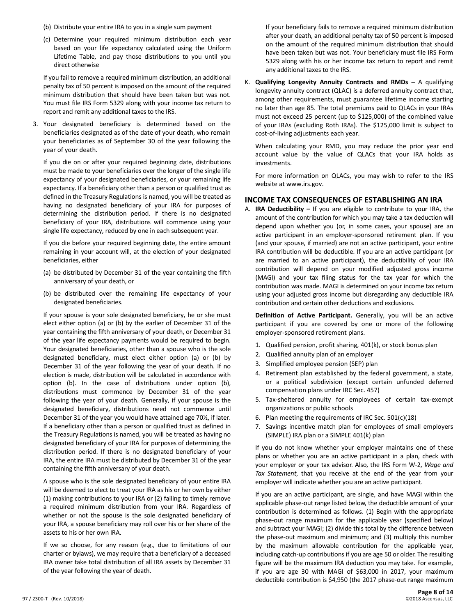- (b) Distribute your entire IRA to you in a single sum payment
- (c) Determine your required minimum distribution each year based on your life expectancy calculated using the Uniform Lifetime Table, and pay those distributions to you until you direct otherwise

If you fail to remove a required minimum distribution, an additional penalty tax of 50 percent is imposed on the amount of the required minimum distribution that should have been taken but was not. You must file IRS Form 5329 along with your income tax return to report and remit any additional taxes to the IRS.

3. Your designated beneficiary is determined based on the beneficiaries designated as of the date of your death, who remain your beneficiaries as of September 30 of the year following the year of your death.

If you die on or after your required beginning date, distributions must be made to your beneficiaries over the longer of the single life expectancy of your designated beneficiaries, or your remaining life expectancy. If a beneficiary other than a person or qualified trust as defined in the Treasury Regulations is named, you will be treated as having no designated beneficiary of your IRA for purposes of determining the distribution period. If there is no designated beneficiary of your IRA, distributions will commence using your single life expectancy, reduced by one in each subsequent year.

If you die before your required beginning date, the entire amount remaining in your account will, at the election of your designated beneficiaries, either

- (a) be distributed by December 31 of the year containing the fifth anniversary of your death, or
- (b) be distributed over the remaining life expectancy of your designated beneficiaries.

If your spouse is your sole designated beneficiary, he or she must elect either option (a) or (b) by the earlier of December 31 of the year containing the fifth anniversary of your death, or December 31 of the year life expectancy payments would be required to begin. Your designated beneficiaries, other than a spouse who is the sole designated beneficiary, must elect either option (a) or (b) by December 31 of the year following the year of your death. If no election is made, distribution will be calculated in accordance with option (b). In the case of distributions under option (b), distributions must commence by December 31 of the year following the year of your death. Generally, if your spouse is the designated beneficiary, distributions need not commence until December 31 of the year you would have attained age 70½, if later. If a beneficiary other than a person or qualified trust as defined in the Treasury Regulations is named, you will be treated as having no designated beneficiary of your IRA for purposes of determining the distribution period. If there is no designated beneficiary of your IRA, the entire IRA must be distributed by December 31 of the year containing the fifth anniversary of your death.

A spouse who is the sole designated beneficiary of your entire IRA will be deemed to elect to treat your IRA as his or her own by either (1) making contributions to your IRA or (2) failing to timely remove a required minimum distribution from your IRA. Regardless of whether or not the spouse is the sole designated beneficiary of your IRA, a spouse beneficiary may roll over his or her share of the assets to his or her own IRA.

If we so choose, for any reason (e.g., due to limitations of our charter or bylaws), we may require that a beneficiary of a deceased IRA owner take total distribution of all IRA assets by December 31 of the year following the year of death.

If your beneficiary fails to remove a required minimum distribution after your death, an additional penalty tax of 50 percent is imposed on the amount of the required minimum distribution that should have been taken but was not. Your beneficiary must file IRS Form 5329 along with his or her income tax return to report and remit any additional taxes to the IRS.

K. **Qualifying Longevity Annuity Contracts and RMDs –** A qualifying longevity annuity contract (QLAC) is a deferred annuity contract that, among other requirements, must guarantee lifetime income starting no later than age 85. The total premiums paid to QLACs in your IRAs must not exceed 25 percent (up to \$125,000) of the combined value of your IRAs (excluding Roth IRAs). The \$125,000 limit is subject to cost-of-living adjustments each year.

When calculating your RMD, you may reduce the prior year end account value by the value of QLACs that your IRA holds as investments.

For more information on QLACs, you may wish to refer to the IRS website at www.irs.gov.

# **INCOME TAX CONSEQUENCES OF ESTABLISHING AN IRA**

A. **IRA Deductibility –** If you are eligible to contribute to your IRA, the amount of the contribution for which you may take a tax deduction will depend upon whether you (or, in some cases, your spouse) are an active participant in an employer-sponsored retirement plan. If you (and your spouse, if married) are not an active participant, your entire IRA contribution will be deductible. If you are an active participant (or are married to an active participant), the deductibility of your IRA contribution will depend on your modified adjusted gross income (MAGI) and your tax filing status for the tax year for which the contribution was made. MAGI is determined on your income tax return using your adjusted gross income but disregarding any deductible IRA contribution and certain other deductions and exclusions.

**Definition of Active Participant.** Generally, you will be an active participant if you are covered by one or more of the following employer-sponsored retirement plans.

- 1. Qualified pension, profit sharing, 401(k), or stock bonus plan
- 2. Qualified annuity plan of an employer
- 3. Simplified employee pension (SEP) plan
- 4. Retirement plan established by the federal government, a state, or a political subdivision (except certain unfunded deferred compensation plans under IRC Sec. 457)
- 5. Tax-sheltered annuity for employees of certain tax-exempt organizations or public schools
- 6. Plan meeting the requirements of IRC Sec. 501(c)(18)
- 7. Savings incentive match plan for employees of small employers (SIMPLE) IRA plan or a SIMPLE 401(k) plan

If you do not know whether your employer maintains one of these plans or whether you are an active participant in a plan, check with your employer or your tax advisor. Also, the IRS Form W-2, *Wage and Tax Statement*, that you receive at the end of the year from your employer will indicate whether you are an active participant.

If you are an active participant, are single, and have MAGI within the applicable phase-out range listed below, the deductible amount of your contribution is determined as follows. (1) Begin with the appropriate phase-out range maximum for the applicable year (specified below) and subtract your MAGI; (2) divide this total by the difference between the phase-out maximum and minimum; and (3) multiply this number by the maximum allowable contribution for the applicable year, including catch-up contributions if you are age 50 or older. The resulting figure will be the maximum IRA deduction you may take. For example, if you are age 30 with MAGI of \$63,000 in 2017, your maximum deductible contribution is \$4,950 (the 2017 phase-out range maximum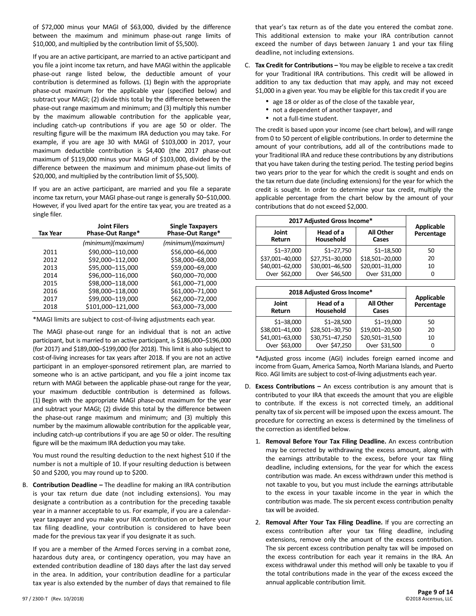of \$72,000 minus your MAGI of \$63,000, divided by the difference between the maximum and minimum phase-out range limits of \$10,000, and multiplied by the contribution limit of \$5,500).

If you are an active participant, are married to an active participant and you file a joint income tax return, and have MAGI within the applicable phase-out range listed below, the deductible amount of your contribution is determined as follows. (1) Begin with the appropriate phase-out maximum for the applicable year (specified below) and subtract your MAGI; (2) divide this total by the difference between the phase-out range maximum and minimum; and (3) multiply this number by the maximum allowable contribution for the applicable year, including catch-up contributions if you are age 50 or older. The resulting figure will be the maximum IRA deduction you may take. For example, if you are age 30 with MAGI of \$103,000 in 2017, your maximum deductible contribution is \$4,400 (the 2017 phase-out maximum of \$119,000 minus your MAGI of \$103,000, divided by the difference between the maximum and minimum phase-out limits of \$20,000, and multiplied by the contribution limit of \$5,500).

If you are an active participant, are married and you file a separate income tax return, your MAGI phase-out range is generally \$0–\$10,000. However, if you lived apart for the entire tax year, you are treated as a single filer.

| Tax Year | <b>Joint Filers</b><br>Phase-Out Range* | <b>Single Taxpayers</b><br>Phase-Out Range* |
|----------|-----------------------------------------|---------------------------------------------|
|          | (minimum)(maximum)                      | (minimum)(maximum)                          |
| 2011     | \$90,000-110,000                        | \$56,000-66,000                             |
| 2012     | \$92,000-112,000                        | \$58,000-68,000                             |
| 2013     | \$95,000-115,000                        | \$59,000-69,000                             |
| 2014     | \$96,000-116,000                        | \$60,000-70,000                             |
| 2015     | \$98,000-118,000                        | \$61,000-71,000                             |
| 2016     | \$98,000-118,000                        | \$61,000-71,000                             |
| 2017     | \$99,000-119,000                        | \$62,000-72,000                             |
| 2018     | \$101,000-121,000                       | \$63,000-73,000                             |

\*MAGI limits are subject to cost-of-living adjustments each year.

The MAGI phase-out range for an individual that is not an active participant, but is married to an active participant, is \$186,000–\$196,000 (for 2017) and \$189,000–\$199,000 (for 2018). This limit is also subject to cost-of-living increases for tax years after 2018. If you are not an active participant in an employer-sponsored retirement plan, are married to someone who is an active participant, and you file a joint income tax return with MAGI between the applicable phase-out range for the year, your maximum deductible contribution is determined as follows. (1) Begin with the appropriate MAGI phase-out maximum for the year and subtract your MAGI; (2) divide this total by the difference between the phase-out range maximum and minimum; and (3) multiply this number by the maximum allowable contribution for the applicable year, including catch-up contributions if you are age 50 or older. The resulting figure will be the maximum IRA deduction you may take.

You must round the resulting deduction to the next highest \$10 if the number is not a multiple of 10. If your resulting deduction is between \$0 and \$200, you may round up to \$200.

B. **Contribution Deadline –** The deadline for making an IRA contribution is your tax return due date (not including extensions). You may designate a contribution as a contribution for the preceding taxable year in a manner acceptable to us. For example, if you are a calendaryear taxpayer and you make your IRA contribution on or before your tax filing deadline, your contribution is considered to have been made for the previous tax year if you designate it as such.

If you are a member of the Armed Forces serving in a combat zone, hazardous duty area, or contingency operation, you may have an extended contribution deadline of 180 days after the last day served in the area. In addition, your contribution deadline for a particular tax year is also extended by the number of days that remained to file

that year's tax return as of the date you entered the combat zone. This additional extension to make your IRA contribution cannot exceed the number of days between January 1 and your tax filing deadline, not including extensions.

- C. **Tax Credit for Contributions –** You may be eligible to receive a tax credit for your Traditional IRA contributions. This credit will be allowed in addition to any tax deduction that may apply, and may not exceed \$1,000 in a given year. You may be eligible for this tax credit if you are
	- age 18 or older as of the close of the taxable year,
	- not a dependent of another taxpayer, and
	- not a full-time student.

The credit is based upon your income (see chart below), and will range from 0 to 50 percent of eligible contributions. In order to determine the amount of your contributions, add all of the contributions made to your Traditional IRA and reduce these contributions by any distributions that you have taken during the testing period. The testing period begins two years prior to the year for which the credit is sought and ends on the tax return due date (including extensions) for the year for which the credit is sought. In order to determine your tax credit, multiply the applicable percentage from the chart below by the amount of your contributions that do not exceed \$2,000.

| 2017 Adjusted Gross Income* |                                                     |                 | Applicable |
|-----------------------------|-----------------------------------------------------|-----------------|------------|
| Joint<br>Return             | Head of a<br><b>All Other</b><br>Household<br>Cases |                 | Percentage |
| $$1 - 37,000$               | $$1 - 27,750$                                       | $$1 - 18,500$   | 50         |
| \$37,001-40,000             | \$27,751-30,000                                     | \$18,501-20,000 | 20         |
| \$40,001-62,000             | \$30,001-46,500                                     | \$20,001-31,000 | 10         |
| Over \$62,000               | Over \$46,500                                       | Over \$31,000   | 0          |

| 2018 Adjusted Gross Income* |                                                            |                 | <b>Applicable</b> |
|-----------------------------|------------------------------------------------------------|-----------------|-------------------|
| Joint<br>Return             | Head of a<br><b>All Other</b><br><b>Household</b><br>Cases |                 | Percentage        |
| $$1 - 38,000$               | $$1 - 28,500$                                              | $$1 - 19,000$   | 50                |
| \$38,001-41,000             | \$28,501-30,750                                            | \$19,001-20,500 | 20                |
| \$41,001-63,000             | \$30,751-47,250                                            | \$20,501-31,500 | 10                |
| Over \$63,000               | Over \$47,250                                              | Over \$31,500   | 0                 |

\*Adjusted gross income (AGI) includes foreign earned income and income from Guam, America Samoa, North Mariana Islands, and Puerto Rico. AGI limits are subject to cost-of-living adjustments each year.

- D. **Excess Contributions –** An excess contribution is any amount that is contributed to your IRA that exceeds the amount that you are eligible to contribute. If the excess is not corrected timely, an additional penalty tax of six percent will be imposed upon the excess amount. The procedure for correcting an excess is determined by the timeliness of the correction as identified below.
	- 1. **Removal Before Your Tax Filing Deadline.** An excess contribution may be corrected by withdrawing the excess amount, along with the earnings attributable to the excess, before your tax filing deadline, including extensions, for the year for which the excess contribution was made. An excess withdrawn under this method is not taxable to you, but you must include the earnings attributable to the excess in your taxable income in the year in which the contribution was made. The six percent excess contribution penalty tax will be avoided.
	- 2. **Removal After Your Tax Filing Deadline.** If you are correcting an excess contribution after your tax filing deadline, including extensions, remove only the amount of the excess contribution. The six percent excess contribution penalty tax will be imposed on the excess contribution for each year it remains in the IRA. An excess withdrawal under this method will only be taxable to you if the total contributions made in the year of the excess exceed the annual applicable contribution limit.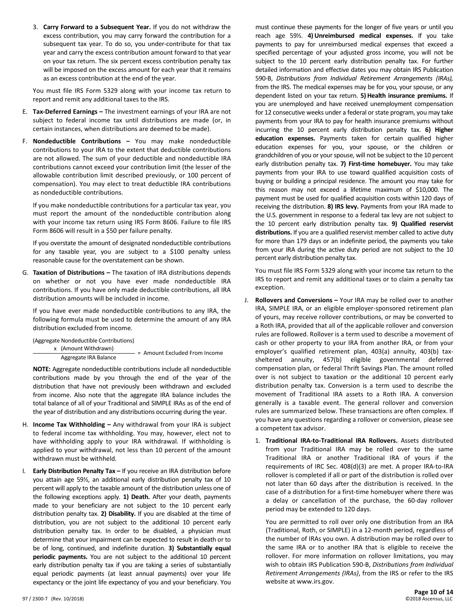3. **Carry Forward to a Subsequent Year.** If you do not withdraw the excess contribution, you may carry forward the contribution for a subsequent tax year. To do so, you under-contribute for that tax year and carry the excess contribution amount forward to that year on your tax return. The six percent excess contribution penalty tax will be imposed on the excess amount for each year that it remains as an excess contribution at the end of the year.

You must file IRS Form 5329 along with your income tax return to report and remit any additional taxes to the IRS.

- E. **Tax-Deferred Earnings –** The investment earnings of your IRA are not subject to federal income tax until distributions are made (or, in certain instances, when distributions are deemed to be made).
- F. **Nondeductible Contributions –** You may make nondeductible contributions to your IRA to the extent that deductible contributions are not allowed. The sum of your deductible and nondeductible IRA contributions cannot exceed your contribution limit (the lesser of the allowable contribution limit described previously, or 100 percent of compensation). You may elect to treat deductible IRA contributions as nondeductible contributions.

If you make nondeductible contributions for a particular tax year, you must report the amount of the nondeductible contribution along with your income tax return using IRS Form 8606. Failure to file IRS Form 8606 will result in a \$50 per failure penalty.

If you overstate the amount of designated nondeductible contributions for any taxable year, you are subject to a \$100 penalty unless reasonable cause for the overstatement can be shown.

G. **Taxation of Distributions –** The taxation of IRA distributions depends on whether or not you have ever made nondeductible IRA contributions. If you have only made deductible contributions, all IRA distribution amounts will be included in income.

If you have ever made nondeductible contributions to any IRA, the following formula must be used to determine the amount of any IRA distribution excluded from income.

(Aggregate Nondeductible Contributions)

x (Amount Withdrawn) Aggregate IRA Balance = Amount Excluded From Income

**NOTE:** Aggregate nondeductible contributions include all nondeductible contributions made by you through the end of the year of the distribution that have not previously been withdrawn and excluded from income. Also note that the aggregate IRA balance includes the total balance of all of your Traditional and SIMPLE IRAs as of the end of the year of distribution and any distributions occurring during the year.

- H. **Income Tax Withholding –** Any withdrawal from your IRA is subject to federal income tax withholding. You may, however, elect not to have withholding apply to your IRA withdrawal. If withholding is applied to your withdrawal, not less than 10 percent of the amount withdrawn must be withheld.
- I. **Early Distribution Penalty Tax –** If you receive an IRA distribution before you attain age 59½, an additional early distribution penalty tax of 10 percent will apply to the taxable amount of the distribution unless one of the following exceptions apply. **1) Death.** After your death, payments made to your beneficiary are not subject to the 10 percent early distribution penalty tax. **2) Disability.** If you are disabled at the time of distribution, you are not subject to the additional 10 percent early distribution penalty tax. In order to be disabled, a physician must determine that your impairment can be expected to result in death or to be of long, continued, and indefinite duration. **3) Substantially equal periodic payments.** You are not subject to the additional 10 percent early distribution penalty tax if you are taking a series of substantially equal periodic payments (at least annual payments) over your life expectancy or the joint life expectancy of you and your beneficiary. You

must continue these payments for the longer of five years or until you reach age 59½. **4) Unreimbursed medical expenses.** If you take payments to pay for unreimbursed medical expenses that exceed a specified percentage of your adjusted gross income, you will not be subject to the 10 percent early distribution penalty tax. For further detailed information and effective dates you may obtain IRS Publication 590-B, *Distributions from Individual Retirement Arrangements (IRAs),* from the IRS. The medical expenses may be for you, your spouse, or any dependent listed on your tax return. **5) Health insurance premiums.** If you are unemployed and have received unemployment compensation for 12 consecutive weeks under a federal or state program, you may take payments from your IRA to pay for health insurance premiums without incurring the 10 percent early distribution penalty tax. **6) Higher education expenses.** Payments taken for certain qualified higher education expenses for you, your spouse, or the children or grandchildren of you or your spouse, will not be subject to the 10 percent early distribution penalty tax. **7) First-time homebuyer.** You may take payments from your IRA to use toward qualified acquisition costs of buying or building a principal residence. The amount you may take for this reason may not exceed a lifetime maximum of \$10,000. The payment must be used for qualified acquisition costs within 120 days of receiving the distribution. **8) IRS levy.** Payments from your IRA made to the U.S. government in response to a federal tax levy are not subject to the 10 percent early distribution penalty tax. **9) Qualified reservist distributions.** If you are a qualified reservist member called to active duty for more than 179 days or an indefinite period, the payments you take from your IRA during the active duty period are not subject to the 10 percent early distribution penalty tax.

You must file IRS Form 5329 along with your income tax return to the IRS to report and remit any additional taxes or to claim a penalty tax exception.

- J. **Rollovers and Conversions –** Your IRA may be rolled over to another IRA, SIMPLE IRA, or an eligible employer-sponsored retirement plan of yours, may receive rollover contributions, or may be converted to a Roth IRA, provided that all of the applicable rollover and conversion rules are followed. Rollover is a term used to describe a movement of cash or other property to your IRA from another IRA, or from your employer's qualified retirement plan, 403(a) annuity, 403(b) taxsheltered annuity, 457(b) eligible governmental deferred compensation plan, or federal Thrift Savings Plan. The amount rolled over is not subject to taxation or the additional 10 percent early distribution penalty tax. Conversion is a term used to describe the movement of Traditional IRA assets to a Roth IRA. A conversion generally is a taxable event. The general rollover and conversion rules are summarized below. These transactions are often complex. If you have any questions regarding a rollover or conversion, please see a competent tax advisor.
	- 1. **Traditional IRA-to-Traditional IRA Rollovers.** Assets distributed from your Traditional IRA may be rolled over to the same Traditional IRA or another Traditional IRA of yours if the requirements of IRC Sec. 408(d)(3) are met. A proper IRA-to-IRA rollover is completed if all or part of the distribution is rolled over not later than 60 days after the distribution is received. In the case of a distribution for a first-time homebuyer where there was a delay or cancellation of the purchase, the 60-day rollover period may be extended to 120 days.

You are permitted to roll over only one distribution from an IRA (Traditional, Roth, or SIMPLE) in a 12-month period, regardless of the number of IRAs you own. A distribution may be rolled over to the same IRA or to another IRA that is eligible to receive the rollover. For more information on rollover limitations, you may wish to obtain IRS Publication 590-B, *Distributions from Individual Retirement Arrangements (IRAs)*, from the IRS or refer to the IRS website at www.irs.gov.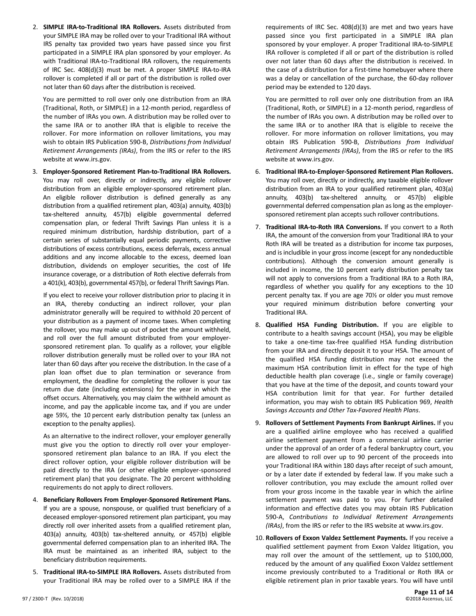2. **SIMPLE IRA-to-Traditional IRA Rollovers.** Assets distributed from your SIMPLE IRA may be rolled over to your Traditional IRA without IRS penalty tax provided two years have passed since you first participated in a SIMPLE IRA plan sponsored by your employer. As with Traditional IRA-to-Traditional IRA rollovers, the requirements of IRC Sec. 408(d)(3) must be met. A proper SIMPLE IRA-to-IRA rollover is completed if all or part of the distribution is rolled over not later than 60 days after the distribution is received.

You are permitted to roll over only one distribution from an IRA (Traditional, Roth, or SIMPLE) in a 12-month period, regardless of the number of IRAs you own. A distribution may be rolled over to the same IRA or to another IRA that is eligible to receive the rollover. For more information on rollover limitations, you may wish to obtain IRS Publication 590-B, *Distributions from Individual Retirement Arrangements (IRAs)*, from the IRS or refer to the IRS website at www.irs.gov.

3. **Employer-Sponsored Retirement Plan-to-Traditional IRA Rollovers.** You may roll over, directly or indirectly, any eligible rollover distribution from an eligible employer-sponsored retirement plan. An eligible rollover distribution is defined generally as any distribution from a qualified retirement plan, 403(a) annuity, 403(b) tax-sheltered annuity, 457(b) eligible governmental deferred compensation plan, or federal Thrift Savings Plan unless it is a required minimum distribution, hardship distribution, part of a certain series of substantially equal periodic payments, corrective distributions of excess contributions, excess deferrals, excess annual additions and any income allocable to the excess, deemed loan distribution, dividends on employer securities, the cost of life insurance coverage, or a distribution of Roth elective deferrals from a 401(k), 403(b), governmental 457(b), or federal Thrift Savings Plan.

If you elect to receive your rollover distribution prior to placing it in an IRA, thereby conducting an indirect rollover, your plan administrator generally will be required to withhold 20 percent of your distribution as a payment of income taxes. When completing the rollover, you may make up out of pocket the amount withheld, and roll over the full amount distributed from your employersponsored retirement plan. To qualify as a rollover, your eligible rollover distribution generally must be rolled over to your IRA not later than 60 days after you receive the distribution. In the case of a plan loan offset due to plan termination or severance from employment, the deadline for completing the rollover is your tax return due date (including extensions) for the year in which the offset occurs. Alternatively, you may claim the withheld amount as income, and pay the applicable income tax, and if you are under age 59½, the 10 percent early distribution penalty tax (unless an exception to the penalty applies).

As an alternative to the indirect rollover, your employer generally must give you the option to directly roll over your employersponsored retirement plan balance to an IRA. If you elect the direct rollover option, your eligible rollover distribution will be paid directly to the IRA (or other eligible employer-sponsored retirement plan) that you designate. The 20 percent withholding requirements do not apply to direct rollovers.

- 4. **Beneficiary Rollovers From Employer-Sponsored Retirement Plans.** If you are a spouse, nonspouse, or qualified trust beneficiary of a deceased employer-sponsored retirement plan participant, you may directly roll over inherited assets from a qualified retirement plan, 403(a) annuity, 403(b) tax-sheltered annuity, or 457(b) eligible governmental deferred compensation plan to an inherited IRA. The IRA must be maintained as an inherited IRA, subject to the beneficiary distribution requirements.
- 5. **Traditional IRA-to-SIMPLE IRA Rollovers.** Assets distributed from your Traditional IRA may be rolled over to a SIMPLE IRA if the

requirements of IRC Sec. 408(d)(3) are met and two years have passed since you first participated in a SIMPLE IRA plan sponsored by your employer. A proper Traditional IRA-to-SIMPLE IRA rollover is completed if all or part of the distribution is rolled over not later than 60 days after the distribution is received. In the case of a distribution for a first-time homebuyer where there was a delay or cancellation of the purchase, the 60-day rollover period may be extended to 120 days.

You are permitted to roll over only one distribution from an IRA (Traditional, Roth, or SIMPLE) in a 12-month period, regardless of the number of IRAs you own. A distribution may be rolled over to the same IRA or to another IRA that is eligible to receive the rollover. For more information on rollover limitations, you may obtain IRS Publication 590-B, *Distributions from Individual Retirement Arrangements (IRAs)*, from the IRS or refer to the IRS website at www.irs.gov.

- 6. **Traditional IRA-to-Employer-Sponsored Retirement Plan Rollovers.** You may roll over, directly or indirectly, any taxable eligible rollover distribution from an IRA to your qualified retirement plan, 403(a) annuity, 403(b) tax-sheltered annuity, or 457(b) eligible governmental deferred compensation plan as long as the employersponsored retirement plan accepts such rollover contributions.
- 7. **Traditional IRA-to-Roth IRA Conversions.** If you convert to a Roth IRA, the amount of the conversion from your Traditional IRA to your Roth IRA will be treated as a distribution for income tax purposes, and is includible in your gross income (except for any nondeductible contributions). Although the conversion amount generally is included in income, the 10 percent early distribution penalty tax will not apply to conversions from a Traditional IRA to a Roth IRA, regardless of whether you qualify for any exceptions to the 10 percent penalty tax. If you are age 70½ or older you must remove your required minimum distribution before converting your Traditional IRA.
- 8. **Qualified HSA Funding Distribution.** If you are eligible to contribute to a health savings account (HSA), you may be eligible to take a one-time tax-free qualified HSA funding distribution from your IRA and directly deposit it to your HSA. The amount of the qualified HSA funding distribution may not exceed the maximum HSA contribution limit in effect for the type of high deductible health plan coverage (i.e., single or family coverage) that you have at the time of the deposit, and counts toward your HSA contribution limit for that year. For further detailed information, you may wish to obtain IRS Publication 969, *Health Savings Accounts and Other Tax-Favored Health Plans*.
- 9. **Rollovers of Settlement Payments From Bankrupt Airlines.** If you are a qualified airline employee who has received a qualified airline settlement payment from a commercial airline carrier under the approval of an order of a federal bankruptcy court, you are allowed to roll over up to 90 percent of the proceeds into your Traditional IRA within 180 days after receipt of such amount, or by a later date if extended by federal law. If you make such a rollover contribution, you may exclude the amount rolled over from your gross income in the taxable year in which the airline settlement payment was paid to you. For further detailed information and effective dates you may obtain IRS Publication 590-A, *Contributions to Individual Retirement Arrangements (IRAs)*, from the IRS or refer to the IRS website at www.irs.gov.
- 10. **Rollovers of Exxon Valdez Settlement Payments.** If you receive a qualified settlement payment from Exxon Valdez litigation, you may roll over the amount of the settlement, up to \$100,000, reduced by the amount of any qualified Exxon Valdez settlement income previously contributed to a Traditional or Roth IRA or eligible retirement plan in prior taxable years. You will have until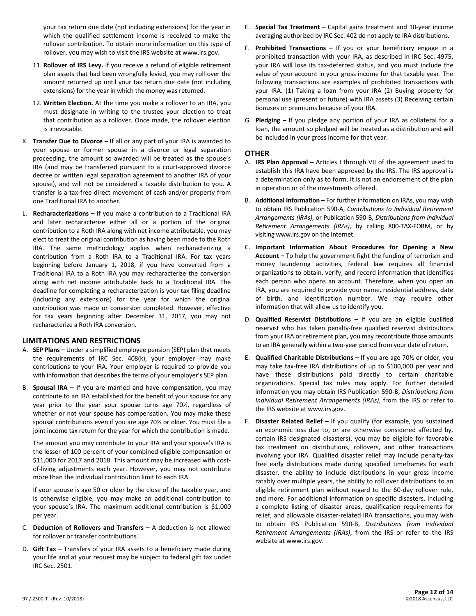your tax return due date (not including extensions) for the year in which the qualified settlement income is received to make the rollover contribution. To obtain more information on this type of rollover, you may wish to visit the IRS website at www.irs.gov.

- 11. **Rollover of IRS Levy.** If you receive a refund of eligible retirement plan assets that had been wrongfully levied, you may roll over the amount returned up until your tax return due date (not including extensions) for the year in which the money was returned.
- 12. **Written Election.** At the time you make a rollover to an IRA, you must designate in writing to the trustee your election to treat that contribution as a rollover. Once made, the rollover election is irrevocable.
- K. **Transfer Due to Divorce –** If all or any part of your IRA is awarded to your spouse or former spouse in a divorce or legal separation proceeding, the amount so awarded will be treated as the spouse's IRA (and may be transferred pursuant to a court-approved divorce decree or written legal separation agreement to another IRA of your spouse), and will not be considered a taxable distribution to you. A transfer is a tax-free direct movement of cash and/or property from one Traditional IRA to another.
- L. **Recharacterizations –** If you make a contribution to a Traditional IRA and later recharacterize either all or a portion of the original contribution to a Roth IRA along with net income attributable, you may elect to treat the original contribution as having been made to the Roth IRA. The same methodology applies when recharacterizing a contribution from a Roth IRA to a Traditional IRA. For tax years beginning before January 1, 2018, if you have converted from a Traditional IRA to a Roth IRA you may recharacterize the conversion along with net income attributable back to a Traditional IRA. The deadline for completing a recharacterization is your tax filing deadline (including any extensions) for the year for which the original contribution was made or conversion completed. However, effective for tax years beginning after December 31, 2017, you may not recharacterize a Roth IRA conversion.

# **LIMITATIONS AND RESTRICTIONS**

- A. **SEP Plans –** Under a simplified employee pension (SEP) plan that meets the requirements of IRC Sec. 408(k), your employer may make contributions to your IRA. Your employer is required to provide you with information that describes the terms of your employer's SEP plan.
- B. **Spousal IRA –** If you are married and have compensation, you may contribute to an IRA established for the benefit of your spouse for any year prior to the year your spouse turns age 70½, regardless of whether or not your spouse has compensation. You may make these spousal contributions even if you are age 70½ or older. You must file a joint income tax return for the year for which the contribution is made.

The amount you may contribute to your IRA and your spouse's IRA is the lesser of 100 percent of your combined eligible compensation or \$11,000 for 2017 and 2018. This amount may be increased with costof-living adjustments each year. However, you may not contribute more than the individual contribution limit to each IRA.

If your spouse is age 50 or older by the close of the taxable year, and is otherwise eligible, you may make an additional contribution to your spouse's IRA. The maximum additional contribution is \$1,000 per year.

- C. **Deduction of Rollovers and Transfers –** A deduction is not allowed for rollover or transfer contributions.
- D. **Gift Tax –** Transfers of your IRA assets to a beneficiary made during your life and at your request may be subject to federal gift tax under IRC Sec. 2501.
- E. **Special Tax Treatment –** Capital gains treatment and 10-year income averaging authorized by IRC Sec. 402 do not apply to IRA distributions.
- F. **Prohibited Transactions –** If you or your beneficiary engage in a prohibited transaction with your IRA, as described in IRC Sec. 4975, your IRA will lose its tax-deferred status, and you must include the value of your account in your gross income for that taxable year. The following transactions are examples of prohibited transactions with your IRA. (1) Taking a loan from your IRA (2) Buying property for personal use (present or future) with IRA assets (3) Receiving certain bonuses or premiums because of your IRA.
- G. **Pledging –** If you pledge any portion of your IRA as collateral for a loan, the amount so pledged will be treated as a distribution and will be included in your gross income for that year.

#### **OTHER**

- A. **IRS Plan Approval –** Articles I through VII of the agreement used to establish this IRA have been approved by the IRS. The IRS approval is a determination only as to form. It is not an endorsement of the plan in operation or of the investments offered.
- B. **Additional Information –** For further information on IRAs, you may wish to obtain IRS Publication 590-A, *Contributions to Individual Retirement Arrangements (IRAs)*, or Publication 590-B, *Distributions from Individual Retirement Arrangements (IRAs)*, by calling 800-TAX-FORM, or by visiting www.irs.gov on the Internet.
- C. **Important Information About Procedures for Opening a New Account –** To help the government fight the funding of terrorism and money laundering activities, federal law requires all financial organizations to obtain, verify, and record information that identifies each person who opens an account. Therefore, when you open an IRA, you are required to provide your name, residential address, date of birth, and identification number. We may require other information that will allow us to identify you.
- D. **Qualified Reservist Distributions –** If you are an eligible qualified reservist who has taken penalty-free qualified reservist distributions from your IRA or retirement plan, you may recontribute those amounts to an IRA generally within a two-year period from your date of return.
- E. **Qualified Charitable Distributions –** If you are age 70½ or older, you may take tax-free IRA distributions of up to \$100,000 per year and have these distributions paid directly to certain charitable organizations. Special tax rules may apply. For further detailed information you may obtain IRS Publication 590-B, *Distributions from Individual Retirement Arrangements (IRAs)*, from the IRS or refer to the IRS website at www.irs.gov.
- F. **Disaster Related Relief –** If you qualify (for example, you sustained an economic loss due to, or are otherwise considered affected by, certain IRS designated disasters), you may be eligible for favorable tax treatment on distributions, rollovers, and other transactions involving your IRA. Qualified disaster relief may include penalty-tax free early distributions made during specified timeframes for each disaster, the ability to include distributions in your gross income ratably over multiple years, the ability to roll over distributions to an eligible retirement plan without regard to the 60-day rollover rule, and more. For additional information on specific disasters, including a complete listing of disaster areas, qualification requirements for relief, and allowable disaster-related IRA transactions, you may wish to obtain IRS Publication 590-B, *Distributions from Individual Retirement Arrangements (IRAs)*, from the IRS or refer to the IRS website at www.irs.gov.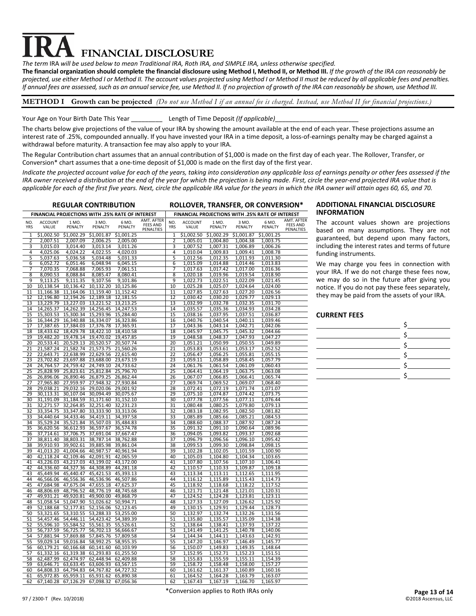# **FINANCIAL DISCLOSURE**

*The term* IRA *will be used below to mean Traditional IRA, Roth IRA, and SIMPLE IRA, unless otherwise specified.*

**The financial organization should complete the financial disclosure using Method I, Method II, or Method III.** *If the growth of the IRA can reasonably be projected, use either Method I or Method II. The account values projected using Method I or Method II must be reduced by all applicable fees and penalties. If annual fees are assessed, such as an annual service fee, use Method II. If no projection of growth of the IRA can reasonably be shown, use Method III.*

# **METHOD I Growth can be projected** *(Do not use Method I if an annual fee is charged. Instead, use Method II for financial projections.)*

# Your Age on Your Birth Date This Year \_\_\_\_\_\_\_\_\_\_\_\_\_\_\_Length of Time Deposit (If applicable)

The charts below give projections of the value of your IRA by showing the amount available at the end of each year. These projections assume an interest rate of .25%, compounded annually. If you have invested your IRA in a time deposit, a loss-of-earnings penalty may be charged against a withdrawal before maturity. A transaction fee may also apply to your IRA.

The Regular Contribution chart assumes that an annual contribution of \$1,000 is made on the first day of each year. The Rollover, Transfer, or Conversion\* chart assumes that a one-time deposit of \$1,000 is made on the first day of the first year.

*Indicate the projected account value for each of the years, taking into consideration any applicable loss of earnings penalty or other fees assessed if the IRA owner received a distribution at the end of the year for which the projection is being made. First, circle the year-end projected IRA value that is applicable for each of the first five years. Next, circle the applicable IRA value for the years in which the IRA owner will attain ages 60, 65, and 70.*

| <b>REGULAR CONTRIBUTION</b>                                                                                      | <b>ROLLOVER, TRANSFER, OR CONVERSION*</b>                                                                |  |  |
|------------------------------------------------------------------------------------------------------------------|----------------------------------------------------------------------------------------------------------|--|--|
| FINANCIAL PROJECTIONS WITH .25% RATE OF INTEREST                                                                 | FINANCIAL PROJECTIONS WITH .25% RATE OF INTEREST                                                         |  |  |
| AMT. AFTER                                                                                                       | AMT. AFTER                                                                                               |  |  |
| <b>ACCOUNT</b>                                                                                                   | NO.                                                                                                      |  |  |
| NO.                                                                                                              | <b>ACCOUNT</b>                                                                                           |  |  |
| 1 MO.                                                                                                            | 1 MO.                                                                                                    |  |  |
| 3 MO.                                                                                                            | 3 MO.                                                                                                    |  |  |
| 6 MO.                                                                                                            | 6 MO.                                                                                                    |  |  |
| <b>FEES AND</b>                                                                                                  | <b>FEES AND</b>                                                                                          |  |  |
| YRS                                                                                                              | <b>YRS</b>                                                                                               |  |  |
| VALUE                                                                                                            | VALUE                                                                                                    |  |  |
| PENALTY                                                                                                          | PENALTY                                                                                                  |  |  |
| PENALTY                                                                                                          | PENALTY                                                                                                  |  |  |
| PENALTY                                                                                                          | PENALTY                                                                                                  |  |  |
| PENALTIES                                                                                                        | PENALTIES                                                                                                |  |  |
| \$1,002.50                                                                                                       | \$1,002.50                                                                                               |  |  |
| \$1,002.29                                                                                                       | \$1,002.29                                                                                               |  |  |
| \$1,001.87                                                                                                       | \$1.001.87                                                                                               |  |  |
| \$1.001.25                                                                                                       | \$1.001.25                                                                                               |  |  |
| 1                                                                                                                | 1                                                                                                        |  |  |
| $\overline{2}$                                                                                                   | $\overline{2}$                                                                                           |  |  |
| 2,007.51                                                                                                         | 1,005.01                                                                                                 |  |  |
| 2,007.09                                                                                                         | 1,004.80                                                                                                 |  |  |
| 2,006.25                                                                                                         | 1,004.38                                                                                                 |  |  |
| 2,005.00                                                                                                         | 1,003.75                                                                                                 |  |  |
| 3<br>3,014.40<br>3,015.03<br>3,013.14<br>3,011.26<br>4                                                           | 3<br>1,007.52<br>1,007.31<br>1,006.89<br>1,006.26<br>4<br>1,008.78                                       |  |  |
| 4,025.06<br>4,024.22<br>4,022.55<br>4,020.03<br>5<br>5,037.63<br>5,036.58<br>5,034.48<br>5,031.33                | 1,010.04<br>1,009.83<br>1,009.41<br>5<br>1,012.56<br>1,012.35<br>1,011.93<br>1,011.30                    |  |  |
| 6,051.46                                                                                                         | 1,015.09                                                                                                 |  |  |
| 6,048.94                                                                                                         | 6                                                                                                        |  |  |
| 6                                                                                                                | 1,014.88                                                                                                 |  |  |
| 6,052.72                                                                                                         | 1,014.46                                                                                                 |  |  |
| 6,045.15                                                                                                         | 1,013.83                                                                                                 |  |  |
| $\overline{7}$                                                                                                   | $\overline{7}$                                                                                           |  |  |
| 7.068.88                                                                                                         | 1,017.63                                                                                                 |  |  |
| 7,070.35                                                                                                         | 1.017.42                                                                                                 |  |  |
| 7,065.93                                                                                                         | 1,017.00                                                                                                 |  |  |
| 7,061.51                                                                                                         | 1,016.36                                                                                                 |  |  |
| 8                                                                                                                | 8                                                                                                        |  |  |
| 8,090.53                                                                                                         | 1,020.18                                                                                                 |  |  |
| 8,088.84                                                                                                         | 1,019.96                                                                                                 |  |  |
| 8,085.47                                                                                                         | 1,019.54                                                                                                 |  |  |
| 8,080.41                                                                                                         | 1,018.90                                                                                                 |  |  |
| 9                                                                                                                | 9                                                                                                        |  |  |
| 9,113.25                                                                                                         | 1,022.73                                                                                                 |  |  |
| 9,111.35                                                                                                         | 1,022.51                                                                                                 |  |  |
| 9,107.56                                                                                                         | 1,022.09                                                                                                 |  |  |
| 9,101.86                                                                                                         | 1,021.45                                                                                                 |  |  |
| 10                                                                                                               | 10                                                                                                       |  |  |
| 10,138.54                                                                                                        | 1,025.28                                                                                                 |  |  |
| 10,132.20                                                                                                        | 1,025.07                                                                                                 |  |  |
| 10,136.42                                                                                                        | 1,024.64                                                                                                 |  |  |
| 10,125.86                                                                                                        | 1,024.00                                                                                                 |  |  |
| 11,164.06                                                                                                        | 1,027.85                                                                                                 |  |  |
| 11,159.40                                                                                                        | 1,027.63                                                                                                 |  |  |
| 11                                                                                                               | 1,027.20                                                                                                 |  |  |
| 11,166.38                                                                                                        | 11                                                                                                       |  |  |
| 11,152.42                                                                                                        | 1,026.56                                                                                                 |  |  |
| 12                                                                                                               | 12                                                                                                       |  |  |
| 12,196.80                                                                                                        | 1,030.42                                                                                                 |  |  |
| 12,194.26                                                                                                        | 1,030.20                                                                                                 |  |  |
| 12,189.18                                                                                                        | 1,029.77                                                                                                 |  |  |
| 12,181.55                                                                                                        | 1,029.13                                                                                                 |  |  |
| 13                                                                                                               | 13                                                                                                       |  |  |
| 13,229.79                                                                                                        | 1,032.99                                                                                                 |  |  |
| 13,227.03                                                                                                        | 1,032.78                                                                                                 |  |  |
| 13,221.52                                                                                                        | 1,032.35                                                                                                 |  |  |
| 13,213.25                                                                                                        | 1,031.70                                                                                                 |  |  |
| 14,256.45                                                                                                        | 14                                                                                                       |  |  |
| 14                                                                                                               | 1,035.57                                                                                                 |  |  |
| 14,265.37                                                                                                        | 1,035.36                                                                                                 |  |  |
| 14,262.39                                                                                                        | 1,034.93                                                                                                 |  |  |
| 14,247.53                                                                                                        | 1,034.28                                                                                                 |  |  |
| 15<br>15,303.53<br>15,300.34<br>15,293.96<br>15,284.40                                                           | 15<br>1,038.16<br>1,037.95<br>1,037.51<br>1,036.87<br>16                                                 |  |  |
| 16<br>16,344.29<br>16,340.88<br>16,334.07<br>16,323.86<br>17,376.78<br>17<br>17,387.65<br>17,384.03<br>17,365.91 | 1,040.76<br>1,040.54<br>1,040.11<br>1,039.46<br>17<br>1,043.36<br>1,043.14<br>1,042.71<br>1,042.06       |  |  |
| 18                                                                                                               | 18                                                                                                       |  |  |
| 18,429.78                                                                                                        | 1,045.97                                                                                                 |  |  |
| 18,433.62                                                                                                        | 1,044.66                                                                                                 |  |  |
| 18,422.10                                                                                                        | 1,045.75                                                                                                 |  |  |
| 18,410.58                                                                                                        | 1,045.32                                                                                                 |  |  |
| 19                                                                                                               | 19                                                                                                       |  |  |
| 19,482.20                                                                                                        | 1,048.58                                                                                                 |  |  |
| 19,478.14                                                                                                        | 1,048.37                                                                                                 |  |  |
| 19,470.02                                                                                                        | 1,047.93                                                                                                 |  |  |
| 19,457.85                                                                                                        | 1,047.27                                                                                                 |  |  |
| 20                                                                                                               | 20                                                                                                       |  |  |
| 20,529.13                                                                                                        | 1,051.21                                                                                                 |  |  |
| 20,520.57                                                                                                        | 1,050.99                                                                                                 |  |  |
| 20,507.74                                                                                                        | 1,050.55                                                                                                 |  |  |
| 20,533.41                                                                                                        | 1,049.89                                                                                                 |  |  |
| 21                                                                                                               | 21                                                                                                       |  |  |
| 21,587.24                                                                                                        | 1,053.83                                                                                                 |  |  |
| 21,582.74                                                                                                        | 1,053.61                                                                                                 |  |  |
| 21,573.75                                                                                                        | 1,053.17                                                                                                 |  |  |
| 21,560.26                                                                                                        | 1,052.52                                                                                                 |  |  |
| 22                                                                                                               | 22                                                                                                       |  |  |
| 22,643.71                                                                                                        | 1,056.47                                                                                                 |  |  |
| 22,638.99                                                                                                        | 1,056.25                                                                                                 |  |  |
| 22,629.56                                                                                                        | 1,055.81                                                                                                 |  |  |
| 22,615.40                                                                                                        | 1,055.15                                                                                                 |  |  |
| 23                                                                                                               | 23                                                                                                       |  |  |
| 23,688.00                                                                                                        | 1,059.11                                                                                                 |  |  |
| 23,702.82                                                                                                        | 1,058.89                                                                                                 |  |  |
| 23,697.88                                                                                                        | 1,058.45                                                                                                 |  |  |
| 23,673.19                                                                                                        | 1,057.79                                                                                                 |  |  |
| 24                                                                                                               | 24                                                                                                       |  |  |
| 24,764.57                                                                                                        | 1,061.76                                                                                                 |  |  |
| 24,759.42                                                                                                        | 1,061.54                                                                                                 |  |  |
| 24,749.10                                                                                                        | 1,061.09                                                                                                 |  |  |
| 24,733.62                                                                                                        | 1,060.43                                                                                                 |  |  |
| 25                                                                                                               | 25                                                                                                       |  |  |
| 25,828.99                                                                                                        | 1,064.41                                                                                                 |  |  |
| 25,823.61                                                                                                        | 1,064.19                                                                                                 |  |  |
| 25,812.84                                                                                                        | 1,063.75                                                                                                 |  |  |
| 25,796.70                                                                                                        | 1,063.08                                                                                                 |  |  |
| 26                                                                                                               | 26                                                                                                       |  |  |
| 26,890.46                                                                                                        | 1,067.07                                                                                                 |  |  |
| 26,879.25                                                                                                        | 1,066.85                                                                                                 |  |  |
| 26,896.06                                                                                                        | 1,066.41                                                                                                 |  |  |
| 26,862.44                                                                                                        | 1,065.74                                                                                                 |  |  |
| 27                                                                                                               | 27                                                                                                       |  |  |
| 27,965.80                                                                                                        | 1,069.74                                                                                                 |  |  |
| 27,959.97                                                                                                        | 1,069.07                                                                                                 |  |  |
| 27,948.32                                                                                                        | 1,068.40                                                                                                 |  |  |
| 27,930.84                                                                                                        | 1,069.52                                                                                                 |  |  |
| 28<br>29,038.21<br>29,032.16<br>29,020.06<br>29,001.92<br>29<br>30,107.04<br>30,094.49<br>30,075.67              | 28<br>1,072.41<br>1,072.19<br>1,071.74<br>1,071.07<br>29<br>1,075.10<br>1,074.87<br>1,074.42<br>1,073.75 |  |  |
| 30,113.31<br>30<br>31.191.09<br>31,184.59<br>31.171.60<br>31,152.10                                              | 30<br>1,077.78<br>1,077.56<br>1,077.11<br>1,076.44                                                       |  |  |
| 31                                                                                                               | 31                                                                                                       |  |  |
| 32,271.57                                                                                                        | 1,080.48                                                                                                 |  |  |
| 32,264.85                                                                                                        | 1,080.25                                                                                                 |  |  |
| 32,251.40                                                                                                        | 1,079.80                                                                                                 |  |  |
| 32,231.23                                                                                                        | 1,079.13                                                                                                 |  |  |
| 32                                                                                                               | 32                                                                                                       |  |  |
| 33,354.75                                                                                                        | 1,083.18                                                                                                 |  |  |
| 33,347.80                                                                                                        | 1,082.95                                                                                                 |  |  |
| 33,333.90                                                                                                        | 1,082.50                                                                                                 |  |  |
| 33,313.06                                                                                                        | 1,081.82                                                                                                 |  |  |
| 33                                                                                                               | 33                                                                                                       |  |  |
| 34,440.64                                                                                                        | 1,085.89                                                                                                 |  |  |
| 34,433.46                                                                                                        | 1,085.66                                                                                                 |  |  |
| 34,419.11                                                                                                        | 1,085.21                                                                                                 |  |  |
| 34,397.58                                                                                                        | 1,084.53                                                                                                 |  |  |
| 34                                                                                                               | 34                                                                                                       |  |  |
| 35,529.24                                                                                                        | 1,088.60                                                                                                 |  |  |
| 35,521.84                                                                                                        | 1,088.37                                                                                                 |  |  |
| 35,507.03                                                                                                        | 1,087.92                                                                                                 |  |  |
| 35,484.83                                                                                                        | 1,087.24                                                                                                 |  |  |
| 35                                                                                                               | 35                                                                                                       |  |  |
| 36,597.67                                                                                                        | 1,091.32                                                                                                 |  |  |
| 36,620.56                                                                                                        | 1,091.10                                                                                                 |  |  |
| 36,612.93                                                                                                        | 1,090.64                                                                                                 |  |  |
| 36,574.78                                                                                                        | 1,089.96                                                                                                 |  |  |
| 36                                                                                                               | 36                                                                                                       |  |  |
| 37,714.61                                                                                                        | 1,094.05                                                                                                 |  |  |
| 37,706.75                                                                                                        | 1,093.82                                                                                                 |  |  |
| 37,691.04                                                                                                        | 1,093.37                                                                                                 |  |  |
| 37,667.47                                                                                                        | 1,092.68                                                                                                 |  |  |
| 37                                                                                                               | 37                                                                                                       |  |  |
| 38.811.40                                                                                                        | 1,096.79                                                                                                 |  |  |
| 38,803.31                                                                                                        | 1,096.56                                                                                                 |  |  |
| 38,787.14                                                                                                        | 1,096.10                                                                                                 |  |  |
| 38,762.88                                                                                                        | 1,095.42                                                                                                 |  |  |
| 38                                                                                                               | 38                                                                                                       |  |  |
| 39,910.93                                                                                                        | 1,099.53                                                                                                 |  |  |
| 39,902.61                                                                                                        | 1,099.30                                                                                                 |  |  |
| 39,885.98                                                                                                        | 1,098.84                                                                                                 |  |  |
| 39,861.04                                                                                                        | 1,098.15                                                                                                 |  |  |
| 39                                                                                                               | 39                                                                                                       |  |  |
| 41,013.20                                                                                                        | 1,102.28                                                                                                 |  |  |
| 41,004.66                                                                                                        | 1,102.05                                                                                                 |  |  |
| 40,987.57                                                                                                        | 1,101.59                                                                                                 |  |  |
| 40,961.94                                                                                                        | 1,100.90                                                                                                 |  |  |
| 40<br>42,109.46<br>42,091.91<br>42,118.24<br>42,065.59                                                           | 40<br>1,105.03<br>1,104.80<br>1,104.34<br>1,103.65<br>41                                                 |  |  |
| 41<br>43,226.03<br>43,217.03<br>43,199.02<br>43,172.00<br>42<br>44,336.60<br>44,327.36<br>44,308.89<br>44,281.18 | 1,107.80<br>1,107.56<br>1,107.10<br>1,106.41<br>42<br>1,110.57<br>1,110.33<br>1,109.87<br>1,109.18       |  |  |
| 43                                                                                                               | 43                                                                                                       |  |  |
| 45.449.94                                                                                                        | 1,113.34                                                                                                 |  |  |
| 45,440.47                                                                                                        | 1,112.65                                                                                                 |  |  |
| 45,421.53                                                                                                        | 1,111.95                                                                                                 |  |  |
| 45,393.13                                                                                                        | 1,113.11                                                                                                 |  |  |
| 44                                                                                                               | 44                                                                                                       |  |  |
| 46,566.06                                                                                                        | 1,116.12                                                                                                 |  |  |
| 46,556.36                                                                                                        | 1,115.43                                                                                                 |  |  |
| 46,536.96                                                                                                        | 1,114.73                                                                                                 |  |  |
| 46,507.86                                                                                                        | 1,115.89                                                                                                 |  |  |
| 45                                                                                                               | 45                                                                                                       |  |  |
| 47,684.98                                                                                                        | 1,118.92                                                                                                 |  |  |
| 47,675.04                                                                                                        | 1,118.68                                                                                                 |  |  |
| 47,655.18                                                                                                        | 1,118.22                                                                                                 |  |  |
| 47,625.37                                                                                                        | 1,117.52                                                                                                 |  |  |
| 46<br>48,806.69<br>48,796.52<br>48,776.19<br>48,745.68<br>47<br>49,920.81<br>49,900.00<br>49,868.79              | 46<br>1,121.71<br>1,121.48<br>1,121.01<br>1,120.31<br>47<br>1,124.52                                     |  |  |
| 49,931.21<br>51,047.90<br>48<br>51,058.54<br>51,026.62<br>50,994.71                                              | 1,124.28<br>1,123.81<br>1,123.11<br>48<br>1,127.33<br>1,127.09<br>1,126.62<br>1,125.92                   |  |  |
| 49                                                                                                               | 49                                                                                                       |  |  |
| 52,177.81                                                                                                        | 1,130.15                                                                                                 |  |  |
| 52,156.06                                                                                                        | 1,129.91                                                                                                 |  |  |
| 52,188.68                                                                                                        | 1,129.44                                                                                                 |  |  |
| 52,123.45                                                                                                        | 1,128.73                                                                                                 |  |  |
| 50                                                                                                               | 50                                                                                                       |  |  |
| 53,321.65                                                                                                        | 1,132.97                                                                                                 |  |  |
| 53,310.55                                                                                                        | 1,132.74                                                                                                 |  |  |
| 53,288.33                                                                                                        | 1,132.26                                                                                                 |  |  |
| 53,255.00                                                                                                        | 1,131.56                                                                                                 |  |  |
| 51                                                                                                               | 51                                                                                                       |  |  |
| 54,457.46                                                                                                        | 1,135.80                                                                                                 |  |  |
| 54,446.11                                                                                                        | 1,135.57                                                                                                 |  |  |
| 54,423.42                                                                                                        | 1,135.09                                                                                                 |  |  |
| 54,389.39                                                                                                        | 1,134.38                                                                                                 |  |  |
| 52                                                                                                               | 52                                                                                                       |  |  |
| 55,596.10                                                                                                        | 1,138.64                                                                                                 |  |  |
| 55,584.52                                                                                                        | 1,137.93                                                                                                 |  |  |
| 55,561.35                                                                                                        | 1,137.22                                                                                                 |  |  |
| 55,526.61                                                                                                        | 1,138.41                                                                                                 |  |  |
| 56,737.59                                                                                                        | 53                                                                                                       |  |  |
| 56,725.77                                                                                                        | 1,141.49                                                                                                 |  |  |
| 56,702.13                                                                                                        | 1,141.25                                                                                                 |  |  |
| 53                                                                                                               | 1,140.06                                                                                                 |  |  |
| 56,666.67                                                                                                        | 1,140.78                                                                                                 |  |  |
| 54                                                                                                               | 54                                                                                                       |  |  |
| 57,869.88                                                                                                        | 1,144.34                                                                                                 |  |  |
| 57,845.76                                                                                                        | 1,142.91                                                                                                 |  |  |
| 57,881.94                                                                                                        | 1,144.11                                                                                                 |  |  |
| 57,809.58                                                                                                        | 1,143.63                                                                                                 |  |  |
| 55                                                                                                               | 55                                                                                                       |  |  |
| 59,029.14                                                                                                        | 1,147.20                                                                                                 |  |  |
| 59,016.84                                                                                                        | 1,146.97                                                                                                 |  |  |
| 58,992.25                                                                                                        | 1,146.49                                                                                                 |  |  |
| 58,955.35                                                                                                        | 1,145.77                                                                                                 |  |  |
| 56                                                                                                               | 56                                                                                                       |  |  |
| 60,179.21                                                                                                        | 1,150.07                                                                                                 |  |  |
| 60,166.68                                                                                                        | 1,149.83                                                                                                 |  |  |
| 60,141.60                                                                                                        | 1,149.35                                                                                                 |  |  |
| 60,103.99                                                                                                        | 1,148.64                                                                                                 |  |  |
| 57                                                                                                               | 57                                                                                                       |  |  |
| 61,293.83                                                                                                        | 1,152.95                                                                                                 |  |  |
| 61,332.16                                                                                                        | 1,152.23                                                                                                 |  |  |
| 61,319.38                                                                                                        | 1,151.51                                                                                                 |  |  |
| 61,255.50                                                                                                        | 1,152.71                                                                                                 |  |  |
| 58                                                                                                               | 58                                                                                                       |  |  |
| 62,487.99                                                                                                        | 1,155.83                                                                                                 |  |  |
| 62,474.97                                                                                                        | 1,155.59                                                                                                 |  |  |
| 62,448.94                                                                                                        | 1,154.39                                                                                                 |  |  |
| 62,409.88                                                                                                        | 1,155.11                                                                                                 |  |  |
| 59                                                                                                               | 59                                                                                                       |  |  |
| 63,646.71                                                                                                        | 1,158.00                                                                                                 |  |  |
| 63,633.45                                                                                                        | 1,157.27                                                                                                 |  |  |
| 63,606.93                                                                                                        | 1,158.72                                                                                                 |  |  |
| 63,567.15                                                                                                        | 1,158.48                                                                                                 |  |  |
| 64,794.83                                                                                                        | 60                                                                                                       |  |  |
| 60                                                                                                               | 1,161.62                                                                                                 |  |  |
| 64,808.33                                                                                                        | 1,161.37                                                                                                 |  |  |
| 64,767.82                                                                                                        | 1,160.89                                                                                                 |  |  |
| 64,727.32                                                                                                        | 1,160.16                                                                                                 |  |  |
| 65,972.85                                                                                                        | 1,163.79                                                                                                 |  |  |
| 65,959.11                                                                                                        | 61                                                                                                       |  |  |
| 65,931.62                                                                                                        | 1,164.52                                                                                                 |  |  |
| 65,890.38                                                                                                        | 1,164.28                                                                                                 |  |  |
| 61                                                                                                               | 1,163.07                                                                                                 |  |  |
| 62<br>67.140.28 67.126.29 67.098.32 67.056.36                                                                    | 62<br>1.167.43<br>1.167.19<br>1.166.70<br>1.165.97                                                       |  |  |

#### **REGULAR CONTRIBUTION ROLLOVER, TRANSFER, OR CONVERSION\* ADDITIONAL FINANCIAL DISCLOSURE INFORMATION**

The account values shown are projections based on many assumptions. They are not guaranteed, but depend upon many factors, including the interest rates and terms of future funding instruments.

We may charge you fees in connection with your IRA. If we do not charge these fees now, we may do so in the future after giving you notice. If you do not pay these fees separately, they may be paid from the assets of your IRA.

# **CURRENT FEES**